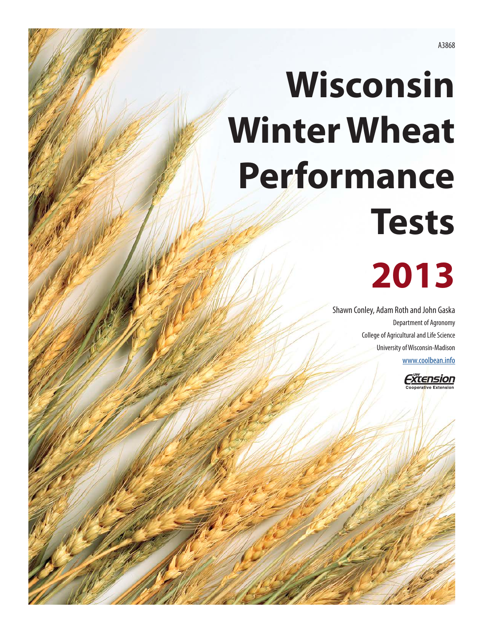# **Wisconsin Winter Wheat Performance Tests**

## **2013**

Shawn Conley, Adam Roth and John Gaska Department of Agronomy College of Agricultural and Life Science University of Wisconsin-Madison [www.coolbean.info](http://www.coolbean.info)

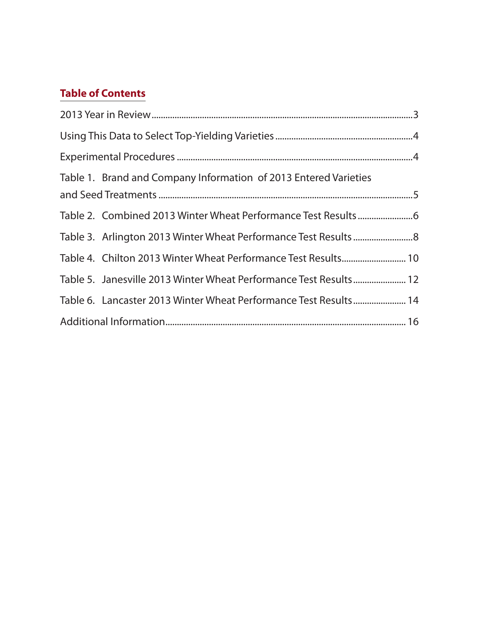## **Table of Contents**

| Table 1. Brand and Company Information of 2013 Entered Varieties  |  |
|-------------------------------------------------------------------|--|
|                                                                   |  |
|                                                                   |  |
| Table 3. Arlington 2013 Winter Wheat Performance Test Results 8   |  |
| Table 4. Chilton 2013 Winter Wheat Performance Test Results 10    |  |
| Table 5. Janesville 2013 Winter Wheat Performance Test Results 12 |  |
| Table 6. Lancaster 2013 Winter Wheat Performance Test Results 14  |  |
|                                                                   |  |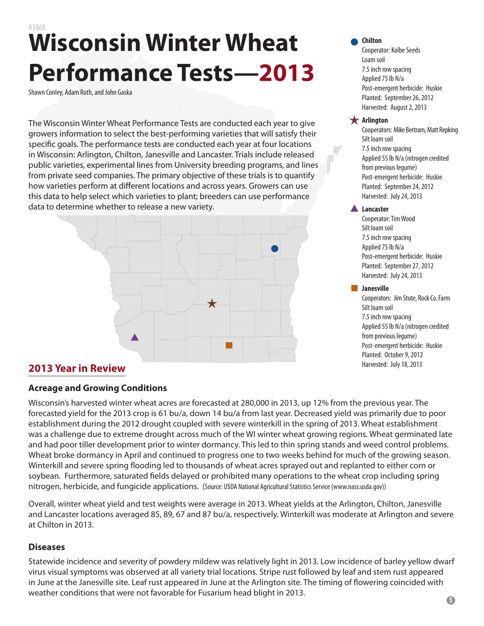## <span id="page-2-0"></span>A3868 **Wisconsin Winter Wheat Performance Tests—2013**

Shawn Conley, Adam Roth, and John Gaska

The Wisconsin Winter Wheat Performance Tests are conducted each year to give growers information to select the best-performing varieties that will satisfy their specific goals. The performance tests are conducted each year at four locations in Wisconsin: Arlington, Chilton, Janesville and Lancaster. Trials include released public varieties, experimental lines from University breeding programs, and lines from private seed companies. The primary objective of these trials is to quantify how varieties perform at different locations and across years. Growers can use this data to help select which varieties to plant; breeders can use performance data to determine whether to release a new variety.



#### **Chilton**

Cooperator: Kolbe Seeds Loam soil 7.5 inch row spacing Applied 75 lb N/a Post-emergent herbicide: Huskie Planted: September 26, 2012 Harvested: August 2, 2013

#### **Arlington**

Cooperators: Mike Bertram, Matt Repking Silt loam soil 7.5 inch row spacing Applied 55 lb N/a (nitrogen credited from previous legume) Post-emergent herbicide: Huskie Planted: September 24, 2012 Harvested: July 24, 2013

#### **Lancaster**

Cooperator: Tim Wood Silt loam soil 7.5 inch row spacing Applied 75 lb N/a Post-emergent herbicide: Huskie Planted: September 27, 2012 Harvested: July 24, 2013

#### **Janesville**

Cooperators: Jim Stute, Rock Co. Farm Silt loam soil 7.5 inch row spacing Applied 55 lb N/a (nitrogen credited from previous legume) Post-emergent herbicide: Huskie Planted: October 9, 2012

## **2013 Year in Review 2013** Harvested: July 18, 2013

#### **Acreage and Growing Conditions**

Wisconsin's harvested winter wheat acres are forecasted at 280,000 in 2013, up 12% from the previous year. The forecasted yield for the 2013 crop is 61 bu/a, down 14 bu/a from last year. Decreased yield was primarily due to poor establishment during the 2012 drought coupled with severe winterkill in the spring of 2013. Wheat establishment was a challenge due to extreme drought across much of the WI winter wheat growing regions. Wheat germinated late and had poor tiller development prior to winter dormancy. This led to thin spring stands and weed control problems. Wheat broke dormancy in April and continued to progress one to two weeks behind for much of the growing season. Winterkill and severe spring flooding led to thousands of wheat acres sprayed out and replanted to either corn or soybean. Furthermore, saturated fields delayed or prohibited many operations to the wheat crop including spring nitrogen, herbicide, and fungicide applications. (Source: USDA National Agricultural Statistics Service (www.nass.usda.gov))

Overall, winter wheat yield and test weights were average in 2013. Wheat yields at the Arlington, Chilton, Janesville and Lancaster locations averaged 85, 89, 67 and 87 bu/a, respectively. Winterkill was moderate at Arlington and severe at Chilton in 2013.

#### **Diseases**

Statewide incidence and severity of powdery mildew was relatively light in 2013. Low incidence of barley yellow dwarf virus visual symptoms was observed at all variety trial locations. Stripe rust followed by leaf and stem rust appeared in June at the Janesville site. Leaf rust appeared in June at the Arlington site. The timing of flowering coincided with weather conditions that were not favorable for Fusarium head blight in 2013.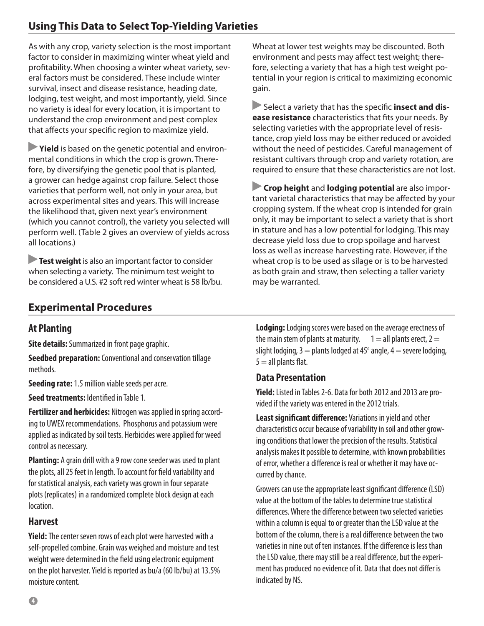<span id="page-3-0"></span>As with any crop, variety selection is the most important factor to consider in maximizing winter wheat yield and profitability. When choosing a winter wheat variety, several factors must be considered. These include winter survival, insect and disease resistance, heading date, lodging, test weight, and most importantly, yield. Since no variety is ideal for every location, it is important to understand the crop environment and pest complex that affects your specific region to maximize yield.

**Yield** is based on the genetic potential and environmental conditions in which the crop is grown. Therefore, by diversifying the genetic pool that is planted, a grower can hedge against crop failure. Select those varieties that perform well, not only in your area, but across experimental sites and years. This will increase the likelihood that, given next year's environment (which you cannot control), the variety you selected will perform well. (Table 2 gives an overview of yields across all locations.)

**Test weight** is also an important factor to consider when selecting a variety. The minimum test weight to be considered a U.S. #2 soft red winter wheat is 58 lb/bu.

Wheat at lower test weights may be discounted. Both environment and pests may affect test weight; therefore, selecting a variety that has a high test weight potential in your region is critical to maximizing economic gain.

**Select a variety that has the specific insect and disease resistance** characteristics that fits your needs. By selecting varieties with the appropriate level of resistance, crop yield loss may be either reduced or avoided without the need of pesticides. Careful management of resistant cultivars through crop and variety rotation, are required to ensure that these characteristics are not lost.

**Crop height** and **lodging potential** are also important varietal characteristics that may be affected by your cropping system. If the wheat crop is intended for grain only, it may be important to select a variety that is short in stature and has a low potential for lodging. This may decrease yield loss due to crop spoilage and harvest loss as well as increase harvesting rate. However, if the wheat crop is to be used as silage or is to be harvested as both grain and straw, then selecting a taller variety may be warranted.

## **Experimental Procedures**

## **At Planting**

**Site details:** Summarized in front page graphic.

**Seedbed preparation:** Conventional and conservation tillage methods.

**Seeding rate:** 1.5 million viable seeds per acre.

**Seed treatments:** Identified in Table 1.

**Fertilizer and herbicides:** Nitrogen was applied in spring according to UWEX recommendations. Phosphorus and potassium were applied as indicated by soil tests. Herbicides were applied for weed control as necessary.

**Planting:** A grain drill with a 9 row cone seeder was used to plant the plots, all 25 feet in length. To account for field variability and for statistical analysis, each variety was grown in four separate plots (replicates) in a randomized complete block design at each location.

### **Harvest**

**Yield:** The center seven rows of each plot were harvested with a self-propelled combine. Grain was weighed and moisture and test weight were determined in the field using electronic equipment on the plot harvester. Yield is reported as bu/a (60 lb/bu) at 13.5% moisture content.

**Lodging:** Lodging scores were based on the average erectness of the main stem of plants at maturity.  $1 =$  all plants erect,  $2 =$ slight lodging,  $3 =$  plants lodged at 45 $^{\circ}$  angle, 4  $=$  severe lodging,  $5 =$ all plants flat.

### **Data Presentation**

**Yield:** Listed in Tables 2-6. Data for both 2012 and 2013 are provided if the variety was entered in the 2012 trials.

**Least significant difference:** Variations in yield and other characteristics occur because of variability in soil and other growing conditions that lower the precision of the results. Statistical analysis makes it possible to determine, with known probabilities of error, whether a difference is real or whether it may have occurred by chance.

Growers can use the appropriate least significant difference (LSD) value at the bottom of the tables to determine true statistical differences. Where the difference between two selected varieties within a column is equal to or greater than the LSD value at the bottom of the column, there is a real difference between the two varieties in nine out of ten instances. If the difference is less than the LSD value, there may still be a real difference, but the experiment has produced no evidence of it. Data that does not differ is indicated by NS.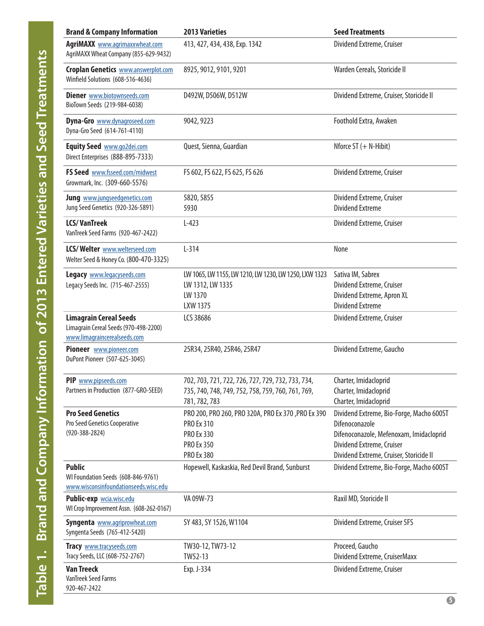<span id="page-4-0"></span>

| <b>Brand &amp; Company Information</b>                                                                 | <b>2013 Varieties</b>                                                                                                                  | <b>Seed Treatments</b>                                                                                                                                                        |
|--------------------------------------------------------------------------------------------------------|----------------------------------------------------------------------------------------------------------------------------------------|-------------------------------------------------------------------------------------------------------------------------------------------------------------------------------|
| <b>AgriMAXX</b> www.agrimaxxwheat.com<br>AgriMAXX Wheat Company (855-629-9432)                         | 413, 427, 434, 438, Exp. 1342                                                                                                          | Dividend Extreme, Cruiser                                                                                                                                                     |
| <b>Croplan Genetics WWW.answerplot.com</b><br>Winfield Solutions (608-516-4636)                        | 8925, 9012, 9101, 9201                                                                                                                 | Warden Cereals, Storicide II                                                                                                                                                  |
| <b>Diener</b> www.biotownseeds.com<br>BioTown Seeds (219-984-6038)                                     | D492W, D506W, D512W                                                                                                                    | Dividend Extreme, Cruiser, Storicide II                                                                                                                                       |
| Dyna-Gro www.dynagroseed.com<br>Dyna-Gro Seed (614-761-4110)                                           | 9042, 9223                                                                                                                             | Foothold Extra, Awaken                                                                                                                                                        |
| Equity Seed www.go2dei.com<br>Direct Enterprises (888-895-7333)                                        | Quest, Sienna, Guardian                                                                                                                | Nforce $ST$ (+ N-Hibit)                                                                                                                                                       |
| FS Seed www.fsseed.com/midwest<br>Growmark, Inc. (309-660-5576)                                        | FS 602, FS 622, FS 625, FS 626                                                                                                         | Dividend Extreme, Cruiser                                                                                                                                                     |
| <b>Jung</b> www.jungseedgenetics.com<br>Jung Seed Genetics (920-326-5891)                              | 5820, 5855<br>5930                                                                                                                     | Dividend Extreme, Cruiser<br><b>Dividend Extreme</b>                                                                                                                          |
| <b>LCS/VanTreek</b><br>VanTreek Seed Farms (920-467-2422)                                              | $L-423$                                                                                                                                | Dividend Extreme, Cruiser                                                                                                                                                     |
| LCS/Welter www.welterseed.com<br>Welter Seed & Honey Co. (800-470-3325)                                | $L-314$                                                                                                                                | None                                                                                                                                                                          |
| Legacy www.legacyseeds.com<br>Legacy Seeds Inc. (715-467-2555)                                         | LW 1065, LW 1155, LW 1210, LW 1230, LW 1250, LXW 1323<br>LW 1312, LW 1335<br>LW 1370<br>LXW 1375                                       | Sativa IM, Sabrex<br>Dividend Extreme, Cruiser<br>Dividend Extreme, Apron XL<br><b>Dividend Extreme</b>                                                                       |
| <b>Limagrain Cereal Seeds</b><br>Limagrain Cereal Seeds (970-498-2200)<br>www.limagraincerealseeds.com | LCS 38686                                                                                                                              | Dividend Extreme, Cruiser                                                                                                                                                     |
| Pioneer www.pioneer.com<br>DuPont Pioneer (507-625-3045)                                               | 25R34, 25R40, 25R46, 25R47                                                                                                             | Dividend Extreme, Gaucho                                                                                                                                                      |
| PIP www.pipseeds.com<br>Partners in Production (877-GRO-SEED)                                          | 702, 703, 721, 722, 726, 727, 729, 732, 733, 734,<br>735, 740, 748, 749, 752, 758, 759, 760, 761, 769,<br>781, 782, 783                | Charter, Imidacloprid<br>Charter, Imidacloprid<br>Charter, Imidacloprid                                                                                                       |
| <b>Pro Seed Genetics</b><br>Pro Seed Genetics Cooperative<br>$(920 - 388 - 2824)$                      | PRO 200, PRO 260, PRO 320A, PRO Ex 370, PRO Ex 390<br><b>PRO Ex 310</b><br><b>PRO Ex 330</b><br><b>PRO Ex 350</b><br><b>PRO Ex 380</b> | Dividend Extreme, Bio-Forge, Macho 600ST<br>Difenoconazole<br>Difenoconazole, Mefenoxam, Imidacloprid<br>Dividend Extreme, Cruiser<br>Dividend Extreme, Cruiser, Storicide II |
| <b>Public</b><br>WI Foundation Seeds (608-846-9761)<br>www.wisconsinfoundationseeds.wisc.edu           | Hopewell, Kaskaskia, Red Devil Brand, Sunburst                                                                                         | Dividend Extreme, Bio-Forge, Macho 600ST                                                                                                                                      |
| Public-exp wcia.wisc.edu<br>WI Crop Improvement Assn. (608-262-0167)                                   | VA 09W-73                                                                                                                              | Raxil MD, Storicide II                                                                                                                                                        |
| <b>Syngenta</b> www.agriprowheat.com<br>Syngenta Seeds (765-412-5420)                                  | SY 483, SY 1526, W1104                                                                                                                 | Dividend Extreme, Cruiser 5FS                                                                                                                                                 |
| Tracy www.tracyseeds.com<br>Tracy Seeds, LLC (608-752-2767)                                            | TW30-12, TW73-12<br>TW52-13                                                                                                            | Proceed, Gaucho<br>Dividend Extreme, CruiserMaxx                                                                                                                              |
| <b>Van Treeck</b><br>VanTreek Seed Farms<br>920-467-2422                                               | Exp. J-334                                                                                                                             | Dividend Extreme, Cruiser                                                                                                                                                     |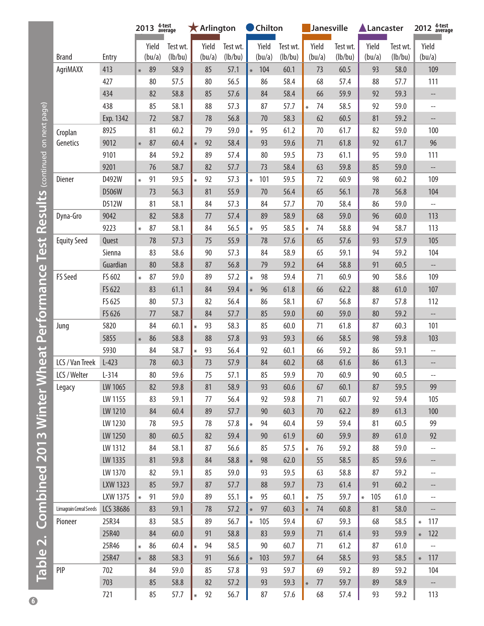<span id="page-5-0"></span>

|                        |                 | 2013   |        | 4-test<br>average |        | $\bigstar$ Arlington |          |           | Chilton |          |         |        | Janesville |        |        | Lancaster |        | 2012 <sup>4-test</sup> average                      |
|------------------------|-----------------|--------|--------|-------------------|--------|----------------------|----------|-----------|---------|----------|---------|--------|------------|--------|--------|-----------|--------|-----------------------------------------------------|
|                        |                 |        | Yield  | Test wt.          |        | Yield                | Test wt. |           | Yield   | Test wt. |         | Yield  | Test wt.   |        | Yield  | Test wt.  |        | Yield                                               |
| <b>Brand</b>           | Entry           |        | (bu/a) | (lb/bu)           |        | (bu/a)               | (lb/bu)  |           | (bu/a)  | (lb/bu)  |         | (bu/a) | (lb/bu)    |        | (bu/a) | (lb/bu)   |        | (bu/a)                                              |
| AgriMAXX               | 413             | $\ast$ | 89     | 58.9              |        | 85                   | 57.1     | $\ast$    | 104     | 60.1     |         | 73     | 60.5       |        | 93     | 58.0      |        | 109                                                 |
|                        | 427             |        | 80     | 57.5              |        | 80                   | 56.5     |           | 86      | 58.4     |         | 68     | 57.4       |        | 88     | 57.7      |        | 111                                                 |
|                        | 434             |        | 82     | 58.8              |        | 85                   | 57.6     |           | 84      | 58.4     |         | 66     | 59.9       |        | 92     | 59.3      |        | --                                                  |
|                        | 438             |        | 85     | 58.1              |        | 88                   | 57.3     |           | 87      | 57.7     | $\ast$  | 74     | 58.5       |        | 92     | 59.0      |        | $-$                                                 |
|                        | Exp. 1342       |        | 72     | 58.7              |        | 78                   | 56.8     |           | 70      | 58.3     |         | 62     | 60.5       |        | 81     | 59.2      |        | $-\, -$                                             |
| Croplan                | 8925            |        | 81     | 60.2              |        | 79                   | 59.0     | $\ast$    | 95      | 61.2     |         | 70     | 61.7       |        | 82     | 59.0      |        | 100                                                 |
| Genetics               | 9012            | $\ast$ | 87     | 60.4              | $\ast$ | 92                   | 58.4     |           | 93      | 59.6     |         | 71     | 61.8       |        | 92     | 61.7      |        | 96                                                  |
|                        | 9101            |        | 84     | 59.2              |        | 89                   | 57.4     |           | 80      | 59.5     |         | 73     | 61.1       |        | 95     | 59.0      |        | 111                                                 |
|                        | 9201            |        | 76     | 58.7              |        | 82                   | 57.7     |           | 73      | 58.4     |         | 63     | 59.8       |        | 85     | 59.0      |        | $\overline{\phantom{a}}$                            |
| Diener                 | D492W           | $\ast$ | 91     | 59.5              | $\ast$ | 92                   | 57.3     | $\ast$    | 101     | 59.5     |         | 72     | 60.9       |        | 98     | 60.2      |        | 109                                                 |
|                        | D506W           |        | 73     | 56.3              |        | 81                   | 55.9     |           | $70$    | 56.4     |         | 65     | 56.1       |        | 78     | 56.8      |        | 104                                                 |
|                        | D512W           |        | 81     | 58.1              |        | 84                   | 57.3     |           | 84      | 57.7     |         | 70     | 58.4       |        | 86     | 59.0      |        | $\hspace{0.05cm} -\hspace{0.05cm} -\hspace{0.05cm}$ |
| Dyna-Gro               | 9042            |        | 82     | 58.8              |        | 77                   | 57.4     |           | 89      | 58.9     |         | 68     | 59.0       |        | 96     | 60.0      |        | 113                                                 |
|                        | 9223            | $\ast$ | 87     | 58.1              |        | 84                   | 56.5     | $\ast$    | 95      | 58.5     | $\ast$  | 74     | 58.8       |        | 94     | 58.7      |        | 113                                                 |
| <b>Equity Seed</b>     | Quest           |        | 78     | 57.3              |        | 75                   | 55.9     |           | 78      | 57.6     |         | 65     | 57.6       |        | 93     | 57.9      |        | 105                                                 |
|                        | Sienna          |        | 83     | 58.6              |        | 90                   | 57.3     |           | 84      | 58.9     |         | 65     | 59.1       |        | 94     | 59.2      |        | 104                                                 |
|                        | Guardian        |        | 80     | 58.8              |        | 87                   | 56.8     |           | 79      | 59.2     |         | 64     | 58.8       |        | 91     | 60.5      |        | --                                                  |
| FS Seed                | FS 602          | $\ast$ | 87     | 59.0              |        | 89                   | 57.2     | $\star$   | 98      | 59.4     |         | 71     | 60.9       |        | 90     | 58.6      |        | 109                                                 |
|                        | FS 622          |        | 83     | 61.1              |        | 84                   | 59.4     | $\ast$    | 96      | 61.8     |         | 66     | 62.2       |        | 88     | 61.0      |        | 107                                                 |
|                        | FS 625          |        | 80     | 57.3              |        | 82                   | 56.4     |           | 86      | 58.1     |         | 67     | 56.8       |        | 87     | 57.8      |        | 112                                                 |
|                        | FS 626          |        | 77     | 58.7              |        | 84                   | 57.7     |           | 85      | 59.0     |         | 60     | 59.0       |        | 80     | 59.2      |        | $\overline{\phantom{a}}$                            |
| Jung                   | 5820            |        | 84     | 60.1              | $\ast$ | 93                   | 58.3     |           | 85      | 60.0     |         | 71     | 61.8       |        | 87     | 60.3      |        | 101                                                 |
|                        | 5855            | $\ast$ | 86     | 58.8              |        | 88                   | 57.8     |           | 93      | 59.3     |         | 66     | 58.5       |        | 98     | 59.8      |        | 103                                                 |
|                        | 5930            |        | 84     | 58.7              | $\ast$ | 93                   | 56.4     |           | 92      | 60.1     |         | 66     | 59.2       |        | 86     | 59.1      |        | $-\,-$                                              |
| LCS / Van Treek        | $L-423$         |        | 78     | 60.3              |        | 73                   | 57.9     |           | 84      | 60.2     |         | 68     | 61.6       |        | 86     | 61.3      |        | --                                                  |
| LCS / Welter           | $L-314$         |        | 80     | 59.6              |        | 75                   | 57.1     |           | 85      | 59.9     |         | 70     | 60.9       |        | $90\,$ | 60.5      |        | --                                                  |
| Legacy                 | LW 1065         |        | 82     | 59.8              |        | 81                   | 58.9     |           | 93      | 60.6     |         | 67     | 60.1       |        | 87     | 59.5      |        | 99                                                  |
|                        | LW 1155         |        | 83     | 59.1              |        | 77                   | 56.4     |           | 92      | 59.8     |         | 71     | 60.7       |        | 92     | 59.4      |        | 105                                                 |
|                        | LW 1210         |        | 84     | 60.4              |        | 89                   | 57.7     |           | 90      | 60.3     |         | 70     | 62.2       |        | 89     | 61.3      |        | 100                                                 |
|                        | LW 1230         |        | 78     | 59.5              |        | 78                   | 57.8     | $\ast$    | 94      | 60.4     |         | 59     | 59.4       |        | 81     | 60.5      |        | 99                                                  |
|                        | LW 1250         |        | 80     | 60.5              |        | 82                   | 59.4     |           | $90\,$  | 61.9     |         | 60     | 59.9       |        | 89     | 61.0      |        | 92                                                  |
|                        | LW 1312         |        | 84     | 58.1              |        | 87                   | 56.6     |           | 85      | 57.5     | $\ast$  | 76     | 59.2       |        | 88     | 59.0      |        | --                                                  |
|                        | LW 1335         |        | 81     | 59.8              |        | 84                   | 58.8     | $\vert$ * | 98      | 62.0     |         | 55     | 58.5       |        | 85     | 59.6      |        | $-\,$                                               |
|                        | LW 1370         |        | 82     | 59.1              |        | 85                   | 59.0     |           | 93      | 59.5     |         | 63     | 58.8       |        | 87     | 59.2      |        | $-\,-$                                              |
|                        | <b>LXW 1323</b> |        | 85     | 59.7              |        | 87                   | 57.7     |           | 88      | 59.7     |         | 73     | 61.4       |        | 91     | 60.2      |        | --                                                  |
|                        | LXW 1375        | $\ast$ | 91     | 59.0              |        | 89                   | 55.1     | $\ast$    | 95      | 60.1     | $\star$ | 75     | 59.7       | $\ast$ | 105    | 61.0      |        | $-\!$                                               |
| Limagrain Cereal Seeds | LCS 38686       |        | 83     | 59.1              |        | 78                   | 57.2     | $\ast$    | 97      | 60.3     | $\ast$  | 74     | 60.8       |        | 81     | 58.0      |        | $\overline{\phantom{a}}$                            |
| Pioneer                | 25R34           |        | 83     | 58.5              |        | 89                   | 56.7     | $\ast$    | 105     | 59.4     |         | 67     | 59.3       |        | 68     | 58.5      | $\ast$ | 117                                                 |
|                        | 25R40           |        | 84     | 60.0              |        | 91                   | 58.8     |           | 83      | 59.9     |         | 71     | 61.4       |        | 93     | 59.9      |        | $* 122$                                             |
|                        | 25R46           | $\ast$ | 86     | 60.4              | $\ast$ | 94                   | 58.5     |           | 90      | 60.7     |         | 71     | 61.2       |        | 87     | 61.0      |        | $\overline{\phantom{a}}$                            |
|                        | 25R47           | $\ast$ | 88     | 58.3              |        | 91                   | 56.6     | $\ast$    | 103     | 59.7     |         | 64     | 58.5       |        | 93     | 58.5      |        | $* 117$                                             |
| PIP                    | 702             |        | 84     | 59.0              |        | 85                   | 57.8     |           | 93      | 59.7     |         | 69     | 59.2       |        | 89     | 59.2      |        | 104                                                 |
|                        | 703             |        | 85     | 58.8              |        | 82                   | 57.2     |           | 93      | 59.3     | $\ast$  | 77     | 59.7       |        | 89     | 58.9      |        | $\overline{\phantom{a}}$                            |
|                        | 721             |        | 85     | 57.7              | $\ast$ | 92                   | 56.7     |           | 87      | 57.6     |         | 68     | 57.4       |        | 93     | 59.2      |        | 113                                                 |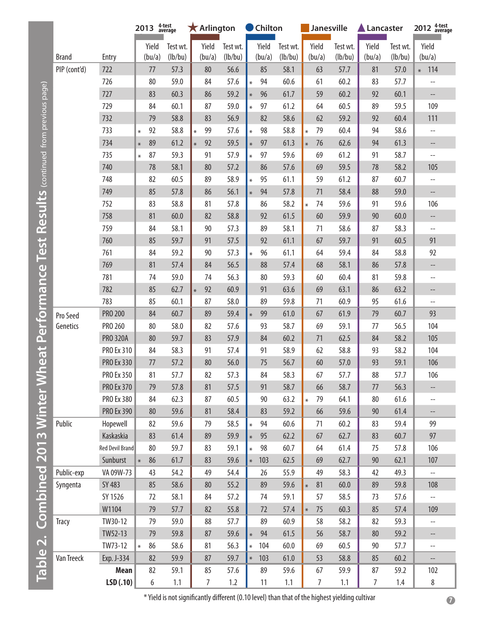|                                             |              |                   | 2013   |        | 4-test<br>average |        | $\bigstar$ Arlington |          |        | Chilton |          |        | Janesville |          | Lancaster |          | 2012 <sup>4-test</sup><br>average                   |
|---------------------------------------------|--------------|-------------------|--------|--------|-------------------|--------|----------------------|----------|--------|---------|----------|--------|------------|----------|-----------|----------|-----------------------------------------------------|
|                                             |              |                   |        | Yield  | Test wt.          |        | Yield                | Test wt. |        | Yield   | Test wt. |        | Yield      | Test wt. | Yield     | Test wt. | Yield                                               |
|                                             | <b>Brand</b> | Entry             |        | (bu/a) | (lb/bu)           |        | (bu/a)               | (lb/bu)  |        | (bu/a)  | (lb/bu)  |        | (bu/a)     | (lb/bu)  | (bu/a)    | (lb/bu)  | (bu/a)                                              |
|                                             | PIP (cont'd) | 722               |        | 77     | 57.3              |        | 80                   | 56.6     |        | 85      | 58.1     |        | 63         | 57.7     | 81        | 57.0     | $* 114$                                             |
|                                             |              | 726               |        | 80     | 59.0              |        | 84                   | 57.6     | $\ast$ | 94      | 60.6     |        | 61         | 60.2     | 83        | 57.7     | $\overline{\phantom{a}}$                            |
| Test Results (continued from previous page) |              | 727               |        | 83     | 60.3              |        | 86                   | 59.2     | $\ast$ | 96      | 61.7     |        | 59         | 60.2     | 92        | 60.1     | $-\!$ .                                             |
|                                             |              | 729               |        | 84     | 60.1              |        | 87                   | 59.0     | $\ast$ | 97      | 61.2     |        | 64         | 60.5     | 89        | 59.5     | 109                                                 |
|                                             |              | 732               |        | 79     | 58.8              |        | 83                   | 56.9     |        | 82      | 58.6     |        | 62         | 59.2     | 92        | 60.4     | 111                                                 |
|                                             |              | 733               | $\ast$ | 92     | 58.8              | $\ast$ | 99                   | 57.6     | $\ast$ | 98      | 58.8     | ¥      | 79         | 60.4     | 94        | 58.6     | $- -$                                               |
|                                             |              | 734               | $\ast$ | 89     | 61.2              | $\ast$ | 92                   | 59.5     | $\ast$ | 97      | 61.3     | $\ast$ | 76         | 62.6     | 94        | 61.3     | $\overline{\phantom{a}}$                            |
|                                             |              | 735               | $\ast$ | 87     | 59.3              |        | 91                   | 57.9     | $\ast$ | 97      | 59.6     |        | 69         | 61.2     | 91        | 58.7     | $\overline{\phantom{a}}$                            |
|                                             |              | 740               |        | 78     | 58.1              |        | 80                   | 57.2     |        | 86      | 57.6     |        | 69         | 59.5     | 78        | 58.2     | 105                                                 |
|                                             |              | 748               |        | 82     | 60.5              |        | 89                   | 58.9     | $\ast$ | 95      | 61.1     |        | 59         | 61.2     | 87        | 60.7     | $\overline{\phantom{a}}$                            |
|                                             |              | 749               |        | 85     | 57.8              |        | 86                   | 56.1     | $\ast$ | 94      | 57.8     |        | 71         | 58.4     | 88        | 59.0     | $\overline{\phantom{0}}$                            |
|                                             |              | 752               |        | 83     | 58.8              |        | 81                   | 57.8     |        | 86      | 58.2     | $\ast$ | 74         | 59.6     | 91        | 59.6     | 106                                                 |
|                                             |              | 758               |        | 81     | 60.0              |        | 82                   | 58.8     |        | 92      | 61.5     |        | 60         | 59.9     | 90        | 60.0     |                                                     |
|                                             |              | 759               |        | 84     | 58.1              |        | 90                   | 57.3     |        | 89      | 58.1     |        | 71         | 58.6     | 87        | 58.3     | $\hspace{0.05cm} -\hspace{0.05cm} -\hspace{0.05cm}$ |
|                                             |              | 760               |        | 85     | 59.7              |        | 91                   | 57.5     |        | 92      | 61.1     |        | 67         | 59.7     | 91        | 60.5     | 91                                                  |
|                                             |              | 761               |        | 84     | 59.2              |        | 90                   | 57.3     | $\ast$ | 96      | 61.1     |        | 64         | 59.4     | 84        | 58.8     | 92                                                  |
|                                             |              | 769               |        | 81     | 57.4              |        | 84                   | 56.5     |        | 88      | 57.4     |        | 68         | 58.1     | 86        | 57.8     | --                                                  |
|                                             |              | 781               |        | 74     | 59.0              |        | 74                   | 56.3     |        | 80      | 59.3     |        | 60         | 60.4     | 81        | 59.8     | $\overline{\phantom{a}}$                            |
|                                             |              | 782               |        | 85     | 62.7              | $\ast$ | 92                   | 60.9     |        | 91      | 63.6     |        | 69         | 63.1     | 86        | 63.2     | --                                                  |
|                                             |              | 783               |        | 85     | 60.1              |        | 87                   | 58.0     |        | 89      | 59.8     |        | 71         | 60.9     | 95        | 61.6     |                                                     |
| <b>Winter Wheat Performance</b>             | Pro Seed     | <b>PRO 200</b>    |        | 84     | 60.7              |        | 89                   | 59.4     | $\ast$ | 99      | 61.0     |        | 67         | 61.9     | 79        | 60.7     | 93                                                  |
|                                             | Genetics     | PRO 260           |        | 80     | 58.0              |        | 82                   | 57.6     |        | 93      | 58.7     |        | 69         | 59.1     | 77        | 56.5     | 104                                                 |
|                                             |              | <b>PRO 320A</b>   |        | 80     | 59.7              |        | 83                   | 57.9     |        | 84      | 60.2     |        | 71         | 62.5     | 84        | 58.2     | 105                                                 |
|                                             |              | PRO Ex 310        |        | 84     | 58.3              |        | 91                   | 57.4     |        | 91      | 58.9     |        | 62         | 58.8     | 93        | 58.2     | 104                                                 |
|                                             |              | <b>PRO Ex 330</b> |        | 77     | 57.2              |        | 80                   | 56.0     |        | 75      | 56.7     |        | 60         | 57.0     | 93        | 59.1     | 106                                                 |
|                                             |              | PRO Ex 350        |        | 81     | 57.7              |        | 82                   | 57.3     |        | 84      | 58.3     |        | 67         | 57.7     | 88        | 57.7     | 106                                                 |
|                                             |              | PRO Ex 370        |        | 79     | 57.8              |        | 81                   | 57.5     |        | 91      | 58.7     |        | 66         | 58.7     | 77        | 56.3     |                                                     |
|                                             |              | PRO Ex 380        |        | 84     | 62.3              |        | 87                   | 60.5     |        | 90      | 63.2     | $\ast$ | 79         | 64.1     | 80        | 61.6     | $\overline{\phantom{a}}$                            |
|                                             |              | PRO Ex 390        |        | 80     | 59.6              |        | 81                   | 58.4     |        | 83      | 59.2     |        | 66         | 59.6     | 90        | 61.4     |                                                     |
|                                             | Public       | Hopewell          |        | 82     | 59.6              |        | 79                   | 58.5     | $\ast$ | 94      | 60.6     |        | 71         | 60.2     | 83        | 59.4     | 99                                                  |
| <b>2013</b>                                 |              | Kaskaskia         |        | 83     | 61.4              |        | 89                   | 59.9     | $\ast$ | 95      | 62.2     |        | 67         | 62.7     | 83        | 60.7     | 97                                                  |
|                                             |              | Red Devil Brand   |        | 80     | 59.7              |        | 83                   | 59.1     | $\ast$ | 98      | 60.7     |        | 64         | 61.4     | 75        | 57.8     | 106                                                 |
|                                             |              | Sunburst          | $\ast$ | 86     | 61.7              |        | 83                   | 59.6     | $\ast$ | 103     | 62.5     |        | 69         | 62.7     | 90        | 62.1     | 107                                                 |
| Combined                                    | Public-exp   | VA 09W-73         |        | 43     | 54.2              |        | 49                   | 54.4     |        | 26      | 55.9     |        | 49         | 58.3     | 42        | 49.3     | $\overline{\phantom{a}}$                            |
|                                             | Syngenta     | SY 483            |        | 85     | 58.6              |        | $80\,$               | 55.2     |        | 89      | 59.6     | $\ast$ | 81         | 60.0     | 89        | 59.8     | 108                                                 |
|                                             |              | SY 1526           |        | 72     | 58.1              |        | 84                   | 57.2     |        | 74      | 59.1     |        | 57         | 58.5     | 73        | 57.6     | $-\,$                                               |
|                                             |              | W1104             |        | 79     | 57.7              |        | 82                   | 55.8     |        | 72      | 57.4     | $\ast$ | 75         | 60.3     | 85        | 57.4     | 109                                                 |
|                                             | <b>Tracy</b> | TW30-12           |        | 79     | 59.0              |        | 88                   | 57.7     |        | 89      | 60.9     |        | 58         | 58.2     | 82        | 59.3     | $\overline{\phantom{a}}$                            |
|                                             |              | TW52-13           |        | 79     | 59.8              |        | 87                   | 59.6     | $\ast$ | 94      | 61.5     |        | 56         | 58.7     | 80        | 59.2     | --                                                  |
| $\mathbf{r}$                                |              | TW73-12           |        | 86     | 58.6              |        | 81                   | 56.3     | $\ast$ | 104     | 60.0     |        | 69         | 60.5     | 90        | 57.7     | $\overline{\phantom{a}}$                            |
| Table <sup>1</sup>                          | Van Treeck   | Exp. J-334        |        | 82     | 59.9              |        | 87                   | 59.7     | $\ast$ | 103     | 61.0     |        | 53         | 58.8     | 85        | $60.2$   |                                                     |
|                                             |              | Mean              |        | 82     | 59.1              |        | 85                   | 57.6     |        | 89      | 59.6     |        | 67         | 59.9     | 87        | 59.2     | 102                                                 |
|                                             |              | LSD(.10)          |        | 6      | 1.1               |        | $\overline{7}$       | 1.2      |        | 11      | 1.1      |        | 7          | 1.1      | 7         | 1.4      | $\,8\,$                                             |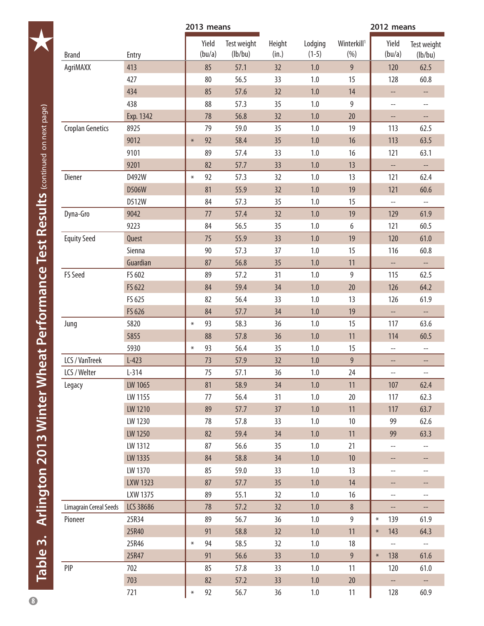<span id="page-7-0"></span>

|                                                               |                         |                 |        | 2013 means      |                        |                 |                    |                                 | 2012 means |                          |                                    |
|---------------------------------------------------------------|-------------------------|-----------------|--------|-----------------|------------------------|-----------------|--------------------|---------------------------------|------------|--------------------------|------------------------------------|
|                                                               | <b>Brand</b>            | Entry           |        | Yield<br>(bu/a) | Test weight<br>(lb/bu) | Height<br>(in.) | Lodging<br>$(1-5)$ | Winterkill <sup>1</sup><br>(% ) |            | Yield<br>(bu/a)          | Test weight<br>(lb/bu)             |
|                                                               | AgriMAXX                | 413             |        | 85              | 57.1                   | 32              | 1.0                | 9                               |            | 120                      | 62.5                               |
|                                                               |                         | 427             |        | 80              | 56.5                   | 33              | 1.0                | 15                              |            | 128                      | 60.8                               |
|                                                               |                         | 434             |        | 85              | 57.6                   | 32              | $1.0$              | 14                              |            | --                       | --                                 |
|                                                               |                         | 438             |        | 88              | 57.3                   | 35              | 1.0                | 9                               |            | $\overline{\phantom{a}}$ | $\hspace{0.05cm} -\hspace{0.05cm}$ |
|                                                               |                         | Exp. 1342       |        | 78              | 56.8                   | 32              | 1.0                | 20                              |            | $\overline{\phantom{a}}$ | --                                 |
| <b>heat Performance Test Results</b> (continued on next page) | <b>Croplan Genetics</b> | 8925            |        | 79              | 59.0                   | 35              | 1.0                | 19                              |            | 113                      | 62.5                               |
|                                                               |                         | 9012            | $\ast$ | 92              | 58.4                   | 35              | 1.0                | 16                              |            | 113                      | 63.5                               |
|                                                               |                         | 9101            |        | 89              | 57.4                   | 33              | 1.0                | 16                              |            | 121                      | 63.1                               |
|                                                               |                         | 9201            |        | 82              | 57.7                   | 33              | 1.0                | 13                              |            | $\qquad \qquad -$        | $\overline{\phantom{a}}$           |
|                                                               | Diener                  | D492W           | $\ast$ | 92              | 57.3                   | 32              | 1.0                | 13                              |            | 121                      | 62.4                               |
|                                                               |                         | D506W           |        | 81              | 55.9                   | 32              | 1.0                | 19                              |            | 121                      | 60.6                               |
|                                                               |                         | D512W           |        | 84              | 57.3                   | 35              | 1.0                | 15                              |            | $\overline{\phantom{a}}$ | $\overline{\phantom{a}}$           |
|                                                               | Dyna-Gro                | 9042            |        | 77              | 57.4                   | 32              | 1.0                | 19                              |            | 129                      | 61.9                               |
|                                                               |                         | 9223            |        | 84              | 56.5                   | 35              | 1.0                | 6                               |            | 121                      | 60.5                               |
|                                                               | <b>Equity Seed</b>      | Quest           |        | 75              | 55.9                   | 33              | 1.0                | 19                              |            | 120                      | 61.0                               |
|                                                               |                         | Sienna          |        | 90              | 57.3                   | 37              | 1.0                | 15                              |            | 116                      | 60.8                               |
|                                                               |                         | Guardian        |        | 87              | 56.8                   | 35              | 1.0                | 11                              |            | $\overline{\phantom{a}}$ | --                                 |
|                                                               | FS Seed                 | FS 602          |        | 89              | 57.2                   | 31              | 1.0                | 9                               |            | 115                      | 62.5                               |
|                                                               |                         | FS 622          |        | 84              | 59.4                   | 34              | $1.0$              | 20                              |            | 126                      | 64.2                               |
|                                                               |                         | FS 625          |        | 82              | 56.4                   | 33              | 1.0                | 13                              |            | 126                      | 61.9                               |
|                                                               |                         | FS 626          |        | 84              | 57.7                   | 34              | 1.0                | 19                              |            | $\overline{\phantom{a}}$ | $\overline{\phantom{a}}$           |
|                                                               | Jung                    | 5820            | $\ast$ | 93              | 58.3                   | 36              | 1.0                | 15                              |            | 117                      | 63.6                               |
|                                                               |                         | 5855            |        | 88              | 57.8                   | 36              | 1.0                | 11                              |            | 114                      | 60.5                               |
|                                                               |                         | 5930            | $\ast$ | 93              | 56.4                   | 35              | 1.0                | 15                              |            | $-\!$                    | $- -$                              |
|                                                               | LCS / VanTreek          | $L-423$         |        | 73              | 57.9                   | 32              | 1.0                | $9\phantom{.}$                  |            | --                       | --                                 |
|                                                               | LCS / Welter            | $L-314$         |        | 75              | 57.1                   | 36              | $1.0\,$            | 24                              |            | $- -$                    |                                    |
|                                                               | Legacy                  | LW 1065         |        | 81              | 58.9                   | 34              | 1.0                | 11                              |            | 107                      | 62.4                               |
|                                                               |                         | LW 1155         |        | 77              | 56.4                   | 31              | $1.0\,$            | 20                              |            | 117                      | 62.3                               |
|                                                               |                         | LW 1210         |        | 89              | 57.7                   | 37              | $1.0\,$            | 11                              |            | 117                      | 63.7                               |
|                                                               |                         | LW 1230         |        | 78              | 57.8                   | 33              | $1.0\,$            | $10\,$                          |            | 99                       | 62.6                               |
|                                                               |                         | LW 1250         |        | 82              | 59.4                   | 34              | 1.0                | $11$                            |            | 99                       | 63.3                               |
|                                                               |                         | LW 1312         |        | 87              | 56.6                   | 35              | 1.0                | 21                              |            | $\overline{\phantom{a}}$ | $\overline{\phantom{a}}$           |
|                                                               |                         | LW 1335         |        | 84              | 58.8                   | 34              | 1.0                | $10$                            |            | --                       | --                                 |
|                                                               |                         | LW 1370         |        | 85              | 59.0                   | 33              | 1.0                | 13                              |            | $-\,$                    | --                                 |
|                                                               |                         | <b>LXW 1323</b> |        | 87              | 57.7                   | 35              | $1.0\,$            | 14                              |            | --                       | --                                 |
|                                                               |                         | LXW 1375        |        | 89              | 55.1                   | 32              | $1.0\,$            | 16                              |            | $\overline{\phantom{a}}$ | --                                 |
| Arlington 2013 Winter W                                       | Limagrain Cereal Seeds  | LCS 38686       |        | 78              | 57.2                   | 32              | 1.0                | $\bf 8$                         |            | --                       | --                                 |
|                                                               | Pioneer                 | 25R34           |        | 89              | 56.7                   | 36              | 1.0                | 9                               | $\ast$     | 139                      | 61.9                               |
|                                                               |                         | 25R40           |        | 91              | 58.8                   | 32              | $1.0\,$            | 11                              | $\ast$     | 143                      | 64.3                               |
|                                                               |                         | 25R46           | $\ast$ | 94              | 58.5                   | 32              | $1.0\,$            | 18                              |            | $\overline{\phantom{a}}$ | $\overline{\phantom{a}}$           |
|                                                               |                         | 25R47           |        | 91              | 56.6                   | 33              | $1.0\,$            | $9\phantom{.0}$                 | $\ast$     | 138                      | 61.6                               |
| Table 3.                                                      | PIP                     | 702             |        | 85              | 57.8                   | 33              | 1.0                | 11                              |            | 120                      | 61.0                               |
|                                                               |                         | 703             |        | 82              | 57.2                   | 33              | $1.0\,$            | 20                              |            | $\overline{\phantom{a}}$ | $\overline{\phantom{a}}$           |
|                                                               |                         | 721             | $\ast$ | 92              | 56.7                   | 36              | 1.0                | 11                              |            | 128                      | 60.9                               |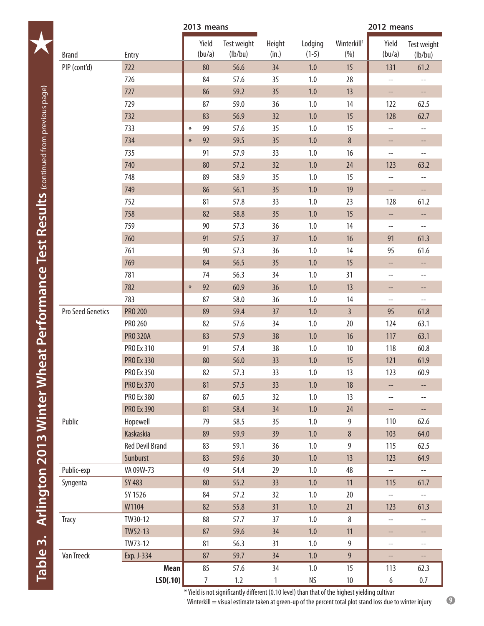|                   | 2013 means             |                 |                        |                 | 2012 means         |                                 |                          |                          |
|-------------------|------------------------|-----------------|------------------------|-----------------|--------------------|---------------------------------|--------------------------|--------------------------|
| <b>Brand</b>      | Entry                  | Yield<br>(bu/a) | Test weight<br>(lb/bu) | Height<br>(in.) | Lodging<br>$(1-5)$ | Winterkill <sup>1</sup><br>(% ) | Yield<br>(bu/a)          | Test weight<br>(lb/bu)   |
| PIP (cont'd)      | 722                    | 80              | 56.6                   | 34              | 1.0                | 15                              | 131                      | 61.2                     |
|                   | 726                    | 84              | 57.6                   | 35              | 1.0                | 28                              | $\overline{\phantom{a}}$ | --                       |
|                   | 727                    | 86              | 59.2                   | 35              | $1.0\,$            | 13                              | $\overline{\phantom{a}}$ | --                       |
|                   | 729                    | 87              | 59.0                   | 36              | 1.0                | 14                              | 122                      | 62.5                     |
|                   | 732                    | 83              | 56.9                   | 32              | $1.0\,$            | 15                              | 128                      | 62.7                     |
|                   | 733                    | 99<br>$\ast$    | 57.6                   | 35              | 1.0                | 15                              | --                       | $-$                      |
|                   | 734                    | 92<br>$\ast$    | 59.5                   | 35              | $1.0\,$            | $\,8\,$                         | --                       | --                       |
|                   | 735                    | 91              | 57.9                   | 33              | $1.0\,$            | 16                              | $\overline{\phantom{a}}$ | $\overline{\phantom{a}}$ |
|                   | 740                    | 80              | 57.2                   | 32              | $1.0\,$            | 24                              | 123                      | 63.2                     |
|                   | 748                    | 89              | 58.9                   | 35              | 1.0                | 15                              | --                       | $\overline{\phantom{a}}$ |
|                   | 749                    | 86              | 56.1                   | 35              | $1.0\,$            | 19                              | --                       | $\overline{\phantom{a}}$ |
|                   | 752                    | 81              | 57.8                   | 33              | $1.0\,$            | 23                              | 128                      | 61.2                     |
|                   | 758                    | 82              | 58.8                   | 35              | 1.0                | 15                              | $\overline{\phantom{a}}$ | --                       |
|                   | 759                    | 90              | 57.3                   | 36              | $1.0\,$            | 14                              | $\qquad \qquad -$        | $\overline{\phantom{a}}$ |
|                   | 760                    | 91              | 57.5                   | 37              | $1.0\,$            | 16                              | 91                       | 61.3                     |
|                   | 761                    | 90              | 57.3                   | 36              | 1.0                | 14                              | 95                       | 61.6                     |
|                   | 769                    | 84              | 56.5                   | 35              | $1.0\,$            | 15                              | --                       | --                       |
|                   | 781                    | 74              | 56.3                   | 34              | $1.0\,$            | 31                              | $- -$                    | $-$                      |
|                   | 782                    | 92<br>$\ast$    | 60.9                   | 36              | 1.0                | 13                              | --                       | --                       |
|                   | 783                    | 87              | 58.0                   | 36              | 1.0                | 14                              | $\overline{\phantom{a}}$ | $\overline{\phantom{a}}$ |
| Pro Seed Genetics | <b>PRO 200</b>         | 89              | 59.4                   | 37              | $1.0\,$            | $\overline{3}$                  | 95                       | 61.8                     |
|                   | PRO 260                | 82              | 57.6                   | 34              | $1.0\,$            | 20                              | 124                      | 63.1                     |
|                   | <b>PRO 320A</b>        | 83              | 57.9                   | 38              | $1.0\,$            | 16                              | 117                      | 63.1                     |
|                   | <b>PRO Ex 310</b>      | 91              | 57.4                   | 38              | $1.0\,$            | 10                              | 118                      | 60.8                     |
|                   | <b>PRO Ex 330</b>      | 80              | 56.0                   | 33              | $1.0\,$            | 15                              | 121                      | 61.9                     |
|                   | PRO Ex 350             | 82              | 57.3                   | 33              | $1.0\,$            | 13                              | 123                      | 60.9                     |
|                   | <b>PRO Ex 370</b>      | 81              | 57.5                   | 33              | 1.0                | 18                              | $--$                     | --                       |
|                   | PRO Ex 380             | 87              | 60.5                   | 32              | $1.0\,$            | 13                              | --                       | --                       |
|                   | <b>PRO Ex 390</b>      | 81              | 58.4                   | 34              | 1.0                | 24                              | $\overline{\phantom{a}}$ | --                       |
| Public            | Hopewell               | 79              | 58.5                   | 35              | 1.0                | 9                               | 110                      | 62.6                     |
|                   | Kaskaskia              | 89              | 59.9                   | 39              | $1.0\,$            | $\,8\,$                         | 103                      | 64.0                     |
|                   | <b>Red Devil Brand</b> | 83              | 59.1                   | 36              | $1.0\,$            | $9\,$                           | 115                      | 62.5                     |
|                   | Sunburst               | 83              | 59.6                   | 30              | $1.0\,$            | 13                              | 123                      | 64.9                     |
| Public-exp        | VA 09W-73              | 49              | 54.4                   | 29              | $1.0\,$            | 48                              | $\overline{a}$           | $\overline{\phantom{a}}$ |
| Syngenta          | SY 483                 | 80              | 55.2                   | 33              | $1.0\,$            | 11                              | 115                      | 61.7                     |
|                   | SY 1526                | 84              | 57.2                   | 32              | $1.0\,$            | 20                              | $\overline{\phantom{a}}$ | $\overline{\phantom{a}}$ |
|                   | W1104                  | 82              | 55.8                   | 31              | $1.0\,$            | 21                              | 123                      | 61.3                     |
| Tracy             | TW30-12                | 88              | 57.7                   | 37              | $1.0\,$            | $\,8\,$                         | --                       | $-$                      |
|                   | TW52-13                | 87              | 59.6                   | 34              | 1.0                | 11                              | --                       | --                       |
|                   | TW73-12                | 81              | 56.3                   | 31              | $1.0\,$            | 9                               | --                       | $-$                      |
| Van Treeck        | Exp. J-334             | 87              | 59.7                   | 34              | $1.0\,$            | $\overline{9}$                  | $\overline{\phantom{a}}$ | $\overline{\phantom{0}}$ |
|                   | <b>Mean</b>            | 85              | 57.6                   | 34              | $1.0\,$            | 15                              | 113                      | 62.3                     |
|                   | LSD(.10)               | 7               | $1.2\,$                | 1               | <b>NS</b>          | $10\,$                          | $\boldsymbol{6}$         | $0.7\,$                  |

<sup>1</sup> Winterkill = visual estimate taken at green-up of the percent total plot stand loss due to winter injury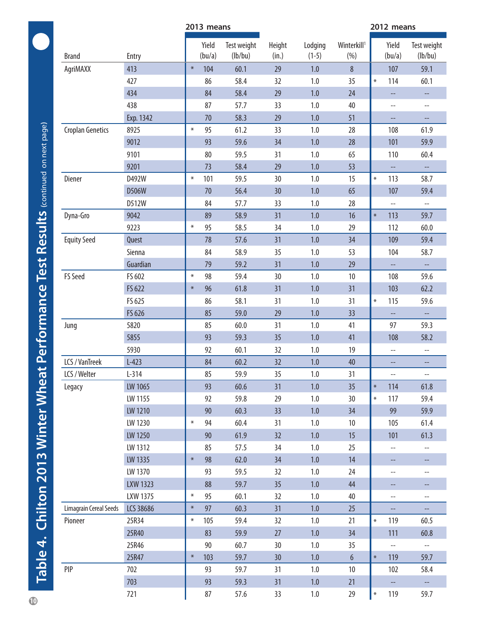<span id="page-9-1"></span><span id="page-9-0"></span>

|                         | 2013 means      |        |                 | 2012 means             |                 |                    |                                 |        |                          |                          |
|-------------------------|-----------------|--------|-----------------|------------------------|-----------------|--------------------|---------------------------------|--------|--------------------------|--------------------------|
| <b>Brand</b>            | Entry           |        | Yield<br>(bu/a) | Test weight<br>(lb/bu) | Height<br>(in.) | Lodging<br>$(1-5)$ | Winterkill <sup>1</sup><br>(% ) |        | Yield<br>(bu/a)          | Test weight<br>(lb/bu)   |
| AgriMAXX                | 413             | $\ast$ | 104             | 60.1                   | 29              | 1.0                | 8                               |        | 107                      | 59.1                     |
|                         | 427             |        | 86              | 58.4                   | 32              | 1.0                | 35                              | $\ast$ | 114                      | 60.1                     |
|                         | 434             |        | 84              | 58.4                   | 29              | 1.0                | 24                              |        | --                       | н,                       |
|                         | 438             |        | 87              | 57.7                   | 33              | 1.0                | 40                              |        | $\qquad \qquad -$        | $\qquad \qquad -$        |
|                         | Exp. 1342       |        | 70              | 58.3                   | 29              | 1.0                | 51                              |        | --                       | --                       |
| <b>Croplan Genetics</b> | 8925            | $\ast$ | 95              | 61.2                   | 33              | 1.0                | 28                              |        | 108                      | 61.9                     |
|                         | 9012            |        | 93              | 59.6                   | 34              | 1.0                | 28                              |        | 101                      | 59.9                     |
|                         | 9101            |        | 80              | 59.5                   | 31              | 1.0                | 65                              |        | 110                      | 60.4                     |
|                         | 9201            |        | 73              | 58.4                   | 29              | 1.0                | 53                              |        | $\hspace{0.05cm} \ldots$ | --                       |
| Diener                  | D492W           | $\ast$ | 101             | 59.5                   | 30              | $1.0\,$            | 15                              | $\ast$ | 113                      | 58.7                     |
|                         | D506W           |        | 70              | 56.4                   | 30              | 1.0                | 65                              |        | 107                      | 59.4                     |
|                         | D512W           |        | 84              | 57.7                   | 33              | 1.0                | 28                              |        | $\overline{\phantom{a}}$ | $\overline{\phantom{a}}$ |
| Dyna-Gro                | 9042            |        | 89              | 58.9                   | 31              | 1.0                | 16                              | $\ast$ | 113                      | 59.7                     |
|                         | 9223            | $\ast$ | 95              | 58.5                   | 34              | 1.0                | 29                              |        | 112                      | 60.0                     |
| <b>Equity Seed</b>      | Quest           |        | 78              | 57.6                   | 31              | 1.0                | 34                              |        | 109                      | 59.4                     |
|                         | Sienna          |        | 84              | 58.9                   | 35              | 1.0                | 53                              |        | 104                      | 58.7                     |
|                         | Guardian        |        | 79              | 59.2                   | 31              | 1.0                | 29                              |        | --                       | --                       |
| <b>FS Seed</b>          | FS 602          | $\ast$ | 98              | 59.4                   | 30              | 1.0                | 10                              |        | 108                      | 59.6                     |
|                         | FS 622          | $\ast$ | 96              | 61.8                   | 31              | 1.0                | 31                              |        | 103                      | 62.2                     |
|                         | FS 625          |        | 86              | 58.1                   | 31              | 1.0                | 31                              | $\ast$ | 115                      | 59.6                     |
|                         | FS 626          |        | 85              | 59.0                   | 29              | 1.0                | 33                              |        | --                       | $-$                      |
| Jung                    | 5820            |        | 85              | 60.0                   | 31              | 1.0                | 41                              |        | 97                       | 59.3                     |
|                         | 5855            |        | 93              | 59.3                   | 35              | 1.0                | 41                              |        | 108                      | 58.2                     |
|                         | 5930            |        | 92              | 60.1                   | 32              | 1.0                | 19                              |        | --                       | $-$                      |
| LCS / VanTreek          | $L-423$         |        | 84              | 60.2                   | 32              | 1.0                | 40                              |        |                          |                          |
| LCS / Welter            | $L-314$         |        | 85              | 59.9                   | 35              | 1.0                | 31                              |        | --                       |                          |
| Legacy                  | LW 1065         |        | 93              | 60.6                   | 31              | 1.0                | 35                              | $\ast$ | 114                      | 61.8                     |
|                         | LW 1155         |        | 92              | 59.8                   | 29              | 1.0                | 30                              | $\ast$ | 117                      | 59.4                     |
|                         | LW 1210         |        | 90              | 60.3                   | 33              | $1.0\,$            | 34                              |        | 99                       | 59.9                     |
|                         | LW 1230         | $\ast$ | 94              | 60.4                   | 31              | $1.0\,$            | 10 <sup>°</sup>                 |        | 105                      | 61.4                     |
|                         | LW 1250         |        | 90              | 61.9                   | 32              | 1.0                | 15                              |        | 101                      | 61.3                     |
|                         | LW 1312         |        | 85              | 57.5                   | 34              | $1.0\,$            | 25                              |        | $\overline{\phantom{a}}$ | $\overline{\phantom{a}}$ |
|                         | LW 1335         | $\ast$ | 98              | 62.0                   | 34              | $1.0\,$            | 14                              |        | --                       | --                       |
|                         | LW 1370         |        | 93              | 59.5                   | 32              | $1.0\,$            | 24                              |        | $\overline{\phantom{a}}$ | --                       |
|                         | <b>LXW 1323</b> |        | 88              | 59.7                   | 35              | 1.0                | 44                              |        | --                       |                          |
|                         | LXW 1375        | $\ast$ | 95              | 60.1                   | 32              | $1.0\,$            | 40                              |        | $-\!$ –                  | $- -$                    |
| Limagrain Cereal Seeds  | LCS 38686       | $\ast$ | 97              | 60.3                   | 31              | 1.0                | 25                              |        | --                       | --                       |
| Pioneer                 | 25R34           | $\ast$ | 105             | 59.4                   | 32              | $1.0\,$            | 21                              | $\ast$ | 119                      | 60.5                     |
|                         | 25R40           |        | 83              | 59.9                   | 27              | 1.0                | 34                              |        | 111                      | 60.8                     |
|                         | 25R46           |        | 90              | 60.7                   | 30              | $1.0\,$            | 35                              |        | $-\!$ $\!-$              | --                       |
|                         | 25R47           | $\ast$ | 103             | 59.7                   | 30              | 1.0                | $6\phantom{a}$                  | $\ast$ | 119                      | 59.7                     |
| PIP                     | 702             |        | 93              | 59.7                   | 31              | 1.0                | 10 <sup>°</sup>                 |        | 102                      | 58.4                     |
|                         | 703             |        | 93              | 59.3                   | 31              | $1.0\,$            | 21                              |        | н,                       | ÷÷                       |
|                         | 721             |        | 87              | 57.6                   | 33              | 1.0                | 29                              | $\ast$ | 119                      | 59.7                     |
|                         |                 |        |                 |                        |                 |                    |                                 |        |                          |                          |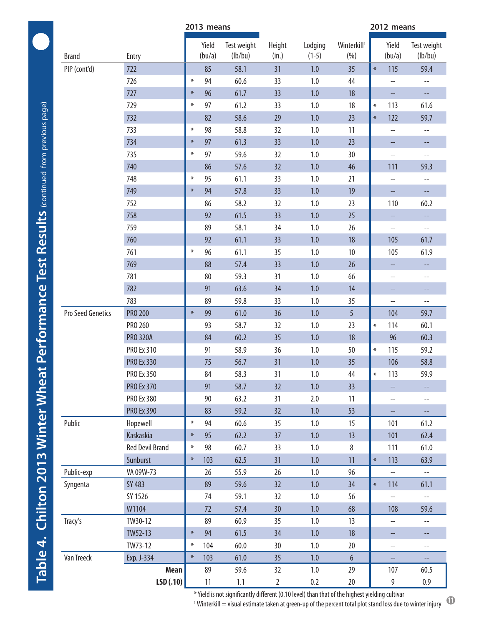|                   |                        | 2013 means |                 |                        |                 | 2012 means         |                                 |        |                          |                                                     |
|-------------------|------------------------|------------|-----------------|------------------------|-----------------|--------------------|---------------------------------|--------|--------------------------|-----------------------------------------------------|
| <b>Brand</b>      | Entry                  |            | Yield<br>(bu/a) | Test weight<br>(lb/bu) | Height<br>(in.) | Lodging<br>$(1-5)$ | Winterkill <sup>1</sup><br>(% ) |        | Yield<br>(bu/a)          | Test weight<br>(lb/bu)                              |
| PIP (cont'd)      | 722                    |            | 85              | 58.1                   | 31              | 1.0                | 35                              | $\ast$ | 115                      | 59.4                                                |
|                   | 726                    | $\ast$     | 94              | 60.6                   | 33              | 1.0                | 44                              |        | $\overline{\phantom{a}}$ | $\hspace{0.05cm} -\hspace{0.05cm} -\hspace{0.05cm}$ |
|                   | 727                    | $\ast$     | 96              | 61.7                   | 33              | 1.0                | 18                              |        | --                       | --                                                  |
|                   | 729                    | $\ast$     | 97              | 61.2                   | 33              | $1.0\,$            | 18                              | $\ast$ | 113                      | 61.6                                                |
|                   | 732                    |            | 82              | 58.6                   | 29              | 1.0                | 23                              | $\ast$ | 122                      | 59.7                                                |
|                   | 733                    | $\ast$     | 98              | 58.8                   | 32              | 1.0                | 11                              |        | $\overline{\phantom{a}}$ | $\overline{\phantom{a}}$                            |
|                   | 734                    | $\ast$     | 97              | 61.3                   | 33              | 1.0                | 23                              |        | --                       | --                                                  |
|                   | 735                    | $\ast$     | 97              | 59.6                   | 32              | 1.0                | 30                              |        | $\overline{\phantom{a}}$ | $\overline{\phantom{a}}$                            |
|                   | 740                    |            | 86              | 57.6                   | 32              | 1.0                | 46                              |        | 111                      | 59.3                                                |
|                   | 748                    | $\ast$     | 95              | 61.1                   | 33              | 1.0                | 21                              |        | $\overline{a}$           | $- -$                                               |
|                   | 749                    | $\ast$     | 94              | 57.8                   | 33              | 1.0                | 19                              |        | --                       | Щ,                                                  |
|                   | 752                    |            | 86              | 58.2                   | 32              | 1.0                | 23                              |        | 110                      | 60.2                                                |
|                   | 758                    |            | 92              | 61.5                   | 33              | 1.0                | 25                              |        | $\overline{\phantom{a}}$ | $\hspace{0.05cm} -\hspace{0.05cm} -\hspace{0.05cm}$ |
|                   | 759                    |            | 89              | 58.1                   | 34              | 1.0                | 26                              |        | $-\,-$                   | $- -$                                               |
|                   | 760                    |            | 92              | 61.1                   | 33              | 1.0                | 18                              |        | 105                      | 61.7                                                |
|                   | 761                    | $\ast$     | 96              | 61.1                   | 35              | 1.0                | 10                              |        | 105                      | 61.9                                                |
|                   | 769                    |            | 88              | 57.4                   | 33              | 1.0                | 26                              |        | --                       |                                                     |
|                   | 781                    |            | 80              | 59.3                   | 31              | 1.0                | 66                              |        | $\overline{a}$           | $\qquad \qquad -$                                   |
|                   | 782                    |            | 91              | 63.6                   | 34              | 1.0                | 14                              |        | --                       | $\overline{\phantom{a}}$                            |
|                   | 783                    |            | 89              | 59.8                   | 33              | 1.0                | 35                              |        | $\overline{\phantom{a}}$ | $\overline{\phantom{a}}$                            |
| Pro Seed Genetics | <b>PRO 200</b>         | $\ast$     | 99              | 61.0                   | 36              | 1.0                | 5                               |        | 104                      | 59.7                                                |
|                   | PRO 260                |            | 93              | 58.7                   | 32              | 1.0                | 23                              | $\ast$ | 114                      | 60.1                                                |
|                   | <b>PRO 320A</b>        |            | 84              | 60.2                   | 35              | 1.0                | 18                              |        | 96                       | 60.3                                                |
|                   | PRO Ex 310             |            | 91              | 58.9                   | 36              | 1.0                | 50                              | $\ast$ | 115                      | 59.2                                                |
|                   | <b>PRO Ex 330</b>      |            | 75              | 56.7                   | 31              | 1.0                | 35                              |        | 106                      | 58.8                                                |
|                   | <b>PRO Ex 350</b>      |            | 84              | 58.3                   | 31              | 1.0                | 44                              | $\ast$ | 113                      | 59.9                                                |
|                   | <b>PRO Ex 370</b>      |            | 91              | 58.7                   | 32              | 1.0                | 33                              |        | --                       |                                                     |
|                   | PRO Ex 380             |            | 90              | 63.2                   | 31              | 2.0                | 11                              |        | $\overline{\phantom{a}}$ | $- -$                                               |
|                   | <b>PRO Ex 390</b>      |            | 83              | 59.2                   | 32              | 1.0                | 53                              |        | $- -$                    |                                                     |
| Public            | Hopewell               | $\ast$     | 94              | 60.6                   | 35              | $1.0\,$            | 15                              |        | 101                      | 61.2                                                |
|                   | Kaskaskia              | $\ast$     | 95              | 62.2                   | 37              | 1.0                | 13                              |        | 101                      | 62.4                                                |
|                   | <b>Red Devil Brand</b> | $\ast$     | 98              | 60.7                   | 33              | 1.0                | 8                               |        | 111                      | 61.0                                                |
|                   | Sunburst               | $\ast$     | 103             | 62.5                   | 31              | 1.0                | 11                              | $\ast$ | 113                      | 63.9                                                |
| Public-exp        | VA 09W-73              |            | 26              | 55.9                   | 26              | $1.0\,$            | 96                              |        | $\overline{\phantom{a}}$ | $-$                                                 |
| Syngenta          | SY 483                 |            | 89              | 59.6                   | 32              | 1.0                | 34                              | $\ast$ | 114                      | 61.1                                                |
|                   | SY 1526                |            | 74              | 59.1                   | 32              | 1.0                | 56                              |        | $-$                      |                                                     |
|                   | W1104                  |            | 72              | 57.4                   | 30 <sup>°</sup> | 1.0                | 68                              |        | 108                      | 59.6                                                |
| Tracy's           | TW30-12                |            | 89              | 60.9                   | 35              | 1.0                | 13                              |        | $\overline{\phantom{a}}$ | $- -$                                               |
|                   | TW52-13                | $\ast$     | 94              | 61.5                   | 34              | 1.0                | 18                              |        | --                       | $\overline{\phantom{a}}$                            |
|                   | TW73-12                | $\ast$     | 104             | 60.0                   | 30              | 1.0                | 20                              |        | $\overline{\phantom{a}}$ | $- -$                                               |
| Van Treeck        | Exp. J-334             | $\ast$     | 103             | 61.0                   | 35              | 1.0                | $6\phantom{a}$                  |        | --                       |                                                     |
|                   | Mean                   |            | 89              | 59.6                   | 32              | 1.0                | 29                              |        | 107                      | 60.5                                                |
|                   | LSD(.10)               |            | 11              | 1.1                    | $\overline{2}$  | 0.2                | 20                              |        | 9                        | 0.9                                                 |

 $1$  Winterkill  $=$  visual estimate taken at green-up of the percent total plot stand loss due to winter injury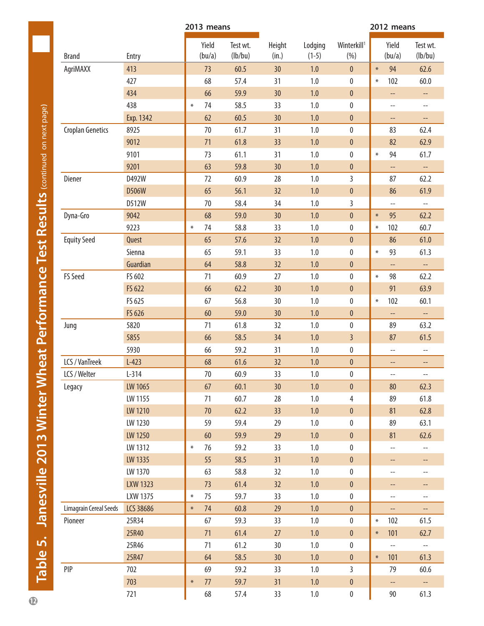<span id="page-11-0"></span>

|                         |                 | 2013 means      |                     |                 |                    |                                | 2012 means               |                          |
|-------------------------|-----------------|-----------------|---------------------|-----------------|--------------------|--------------------------------|--------------------------|--------------------------|
| <b>Brand</b>            | Entry           | Yield<br>(bu/a) | Test wt.<br>(lb/bu) | Height<br>(in.) | Lodging<br>$(1-5)$ | Winterkill <sup>1</sup><br>(%) | Yield<br>(bu/a)          | Test wt.<br>(lb/bu)      |
| AgriMAXX                | 413             | 73              | 60.5                | 30              | 1.0                | $\pmb{0}$                      | 94<br>$\ast$             | 62.6                     |
|                         | 427             | 68              | 57.4                | 31              | 1.0                | $\pmb{0}$                      | 102<br>$\ast$            | 60.0                     |
|                         | 434             | 66              | 59.9                | 30              | 1.0                | $\bf{0}$                       | --                       | --                       |
|                         | 438             | 74<br>$\ast$    | 58.5                | 33              | 1.0                | 0                              | $\overline{\phantom{a}}$ | $- -$                    |
|                         | Exp. 1342       | 62              | 60.5                | 30              | 1.0                | $\pmb{0}$                      | --                       | $- -$                    |
| <b>Croplan Genetics</b> | 8925            | 70              | 61.7                | 31              | 1.0                | $\pmb{0}$                      | 83                       | 62.4                     |
|                         | 9012            | 71              | 61.8                | 33              | 1.0                | $\pmb{0}$                      | 82                       | 62.9                     |
|                         | 9101            | 73              | 61.1                | 31              | 1.0                | 0                              | 94<br>$\ast$             | 61.7                     |
|                         | 9201            | 63              | 59.8                | 30              | 1.0                | $\mathbf{0}$                   | Ц.                       | Щ,                       |
| Diener                  | D492W           | 72              | 60.9                | 28              | 1.0                | $\overline{3}$                 | 87                       | 62.2                     |
|                         | D506W           | 65              | 56.1                | 32              | 1.0                | $\pmb{0}$                      | 86                       | 61.9                     |
|                         | D512W           | 70              | 58.4                | 34              | 1.0                | 3                              | $\overline{\phantom{a}}$ | $- -$                    |
| Dyna-Gro                | 9042            | 68              | 59.0                | 30 <sup>°</sup> | 1.0                | $\pmb{0}$                      | 95<br>$\ast$             | 62.2                     |
|                         | 9223            | 74<br>$\ast$    | 58.8                | 33              | 1.0                | $\pmb{0}$                      | 102<br>$\ast$            | 60.7                     |
| <b>Equity Seed</b>      | Quest           | 65              | 57.6                | 32              | 1.0                | $\pmb{0}$                      | 86                       | 61.0                     |
|                         | Sienna          | 65              | 59.1                | 33              | 1.0                | $\pmb{0}$                      | 93<br>$\ast$             | 61.3                     |
|                         | Guardian        | 64              | 58.8                | 32              | 1.0                | $\pmb{0}$                      | --                       | --                       |
| FS Seed                 | FS 602          | 71              | 60.9                | 27              | 1.0                | $\pmb{0}$                      | 98<br>$\ast$             | 62.2                     |
|                         | FS 622          | 66              | 62.2                | 30              | 1.0                | $\pmb{0}$                      | 91                       | 63.9                     |
|                         | FS 625          | 67              | 56.8                | 30              | 1.0                | 0                              | 102<br>$\ast$            | 60.1                     |
|                         | FS 626          | 60              | 59.0                | 30 <sup>°</sup> | 1.0                | $\mathbf{0}$                   | Щ,                       | $\overline{\phantom{a}}$ |
| Jung                    | 5820            | 71              | 61.8                | 32              | 1.0                | $\pmb{0}$                      | 89                       | 63.2                     |
|                         | 5855            | 66              | 58.5                | 34              | 1.0                | $\overline{3}$                 | 87                       | 61.5                     |
|                         | 5930            | 66              | 59.2                | 31              | 1.0                | 0                              | $\overline{\phantom{a}}$ | $\overline{\phantom{a}}$ |
| LCS / VanTreek          | $L-423$         | 68              | 61.6                | 32              | 1.0                | $\mathbf{0}$                   | --                       | --                       |
| LCS / Welter            | $L-314$         | 70              | 60.9                | 33 <sup>2</sup> | $1.0\,$            | $\mathbf 0$                    | $-\!$ –                  | --                       |
| Legacy                  | LW 1065         | 67              | 60.1                | 30 <sup>°</sup> | $1.0\,$            | $\pmb{0}$                      | 80                       | 62.3                     |
|                         | LW 1155         | 71              | 60.7                | 28              | $1.0\,$            | $\overline{4}$                 | 89                       | 61.8                     |
|                         | LW 1210         | $70$            | 62.2                | 33              | 1.0                | $\pmb{0}$                      | 81                       | 62.8                     |
|                         | LW 1230         | 59              | 59.4                | 29              | $1.0\,$            | 0                              | 89                       | 63.1                     |
|                         | LW 1250         | 60              | 59.9                | 29              | 1.0                | $\pmb{0}$                      | 81                       | 62.6                     |
|                         | LW 1312         | 76<br>$\ast$    | 59.2                | 33              | $1.0\,$            | $\pmb{0}$                      | $\overline{\phantom{a}}$ | $\overline{\phantom{a}}$ |
|                         | LW 1335         | 55              | 58.5                | 31              | $1.0$              | $\pmb{0}$                      | --                       | $\hspace{0.05cm}$        |
|                         | LW 1370         | 63              | 58.8                | 32              | $1.0\,$            | $\pmb{0}$                      | $\overline{\phantom{a}}$ | $\qquad \qquad -$        |
|                         | <b>LXW 1323</b> | 73              | 61.4                | 32              | 1.0                | $\pmb{0}$                      | --                       | --                       |
|                         | LXW 1375        | 75<br>$\ast$    | 59.7                | 33              | $1.0\,$            | $\pmb{0}$                      | $-$                      | $- -$                    |
| Limagrain Cereal Seeds  | LCS 38686       | 74<br>$\ast$    | 60.8                | 29              | 1.0                | $\pmb{0}$                      | $\overline{\phantom{a}}$ | $\overline{\phantom{a}}$ |
| Pioneer                 | 25R34           | 67              | 59.3                | 33              | $1.0\,$            | $\pmb{0}$                      | 102<br>$\ast$            | 61.5                     |
|                         | 25R40           | 71              | 61.4                | 27              | 1.0                | $\pmb{0}$                      | 101<br>$\ast$            | 62.7                     |
|                         | 25R46           | 71              | 61.2                | 30              | 1.0                | 0                              | $\overline{\phantom{a}}$ | $\overline{\phantom{a}}$ |
|                         | 25R47           | 64              | 58.5                | 30 <sub>2</sub> | $1.0\,$            | $\pmb{0}$                      | 101<br>$\ast$            | 61.3                     |
| PIP                     | 702             | 69              | 59.2                | 33              | $1.0\,$            | $\mathbf{3}$                   | 79                       | 60.6                     |
|                         | 703             | 77<br>$\ast$    | 59.7                | 31              | 1.0                | $\pmb{0}$                      | $\overline{\phantom{a}}$ | $\overline{\phantom{a}}$ |
|                         | 721             | 68              | 57.4                | 33              | $1.0\,$            | $\pmb{0}$                      | 90                       | 61.3                     |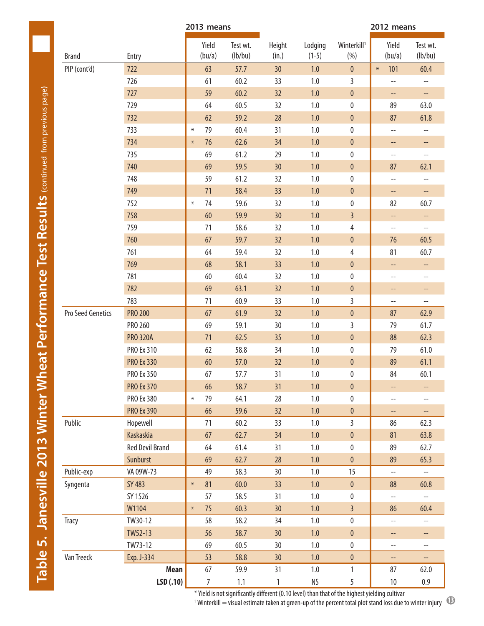|                   |                        | 2013 means      |                     |                 |                    |                                 | 2012 means                                          |                                                     |  |  |
|-------------------|------------------------|-----------------|---------------------|-----------------|--------------------|---------------------------------|-----------------------------------------------------|-----------------------------------------------------|--|--|
| <b>Brand</b>      | Entry                  | Yield<br>(bu/a) | Test wt.<br>(lb/bu) | Height<br>(in.) | Lodging<br>$(1-5)$ | Winterkill <sup>1</sup><br>(% ) | Yield<br>(bu/a)                                     | Test wt.<br>(lb/bu)                                 |  |  |
| PIP (cont'd)      | 722                    | 63              | 57.7                | 30              | $1.0$              | $\pmb{0}$                       | 101<br>$\ast$                                       | 60.4                                                |  |  |
|                   | 726                    | 61              | 60.2                | 33              | 1.0                | 3                               | $\hspace{0.05cm}--\hspace{0.05cm}$                  | $-\!$ $\!-$                                         |  |  |
|                   | 727                    | 59              | 60.2                | 32              | 1.0                | $\pmb{0}$                       | $-\!$                                               | $-\!$                                               |  |  |
|                   | 729                    | 64              | 60.5                | 32              | $1.0\,$            | $\pmb{0}$                       | 89                                                  | 63.0                                                |  |  |
|                   | 732                    | 62              | 59.2                | 28              | 1.0                | $\pmb{0}$                       | 87                                                  | 61.8                                                |  |  |
|                   | 733                    | 79<br>$\ast$    | 60.4                | 31              | 1.0                | $\pmb{0}$                       | $\hspace{0.05cm} -\hspace{0.05cm} -\hspace{0.05cm}$ | $\qquad \qquad -$                                   |  |  |
|                   | 734                    | 76<br>$\ast$    | 62.6                | 34              | 1.0                | $\pmb{0}$                       | --                                                  | --                                                  |  |  |
|                   | 735                    | 69              | 61.2                | 29              | $1.0\,$            | $\pmb{0}$                       | $-$                                                 | $\overline{\phantom{a}}$                            |  |  |
|                   | 740                    | 69              | 59.5                | 30              | 1.0                | $\pmb{0}$                       | 87                                                  | 62.1                                                |  |  |
|                   | 748                    | 59              | 61.2                | 32              | $1.0\,$            | $\pmb{0}$                       | $-\!$                                               | $-\!$ –                                             |  |  |
|                   | 749                    | 71              | 58.4                | 33              | 1.0                | $\pmb{0}$                       | --                                                  | $\overline{\phantom{a}}$                            |  |  |
|                   | 752                    | 74<br>$\ast$    | 59.6                | 32              | 1.0                | $\pmb{0}$                       | 82                                                  | 60.7                                                |  |  |
|                   | 758                    | 60              | 59.9                | 30              | 1.0                | $\overline{3}$                  | --                                                  | $-$                                                 |  |  |
|                   | 759                    | 71              | 58.6                | 32              | $1.0\,$            | 4                               | $-\!$ –                                             | $\overline{\phantom{a}}$                            |  |  |
|                   | 760                    | 67              | 59.7                | 32              | 1.0                | $\pmb{0}$                       | 76                                                  | 60.5                                                |  |  |
|                   | 761                    | 64              | 59.4                | 32              | $1.0\,$            | $\overline{4}$                  | 81                                                  | 60.7                                                |  |  |
|                   | 769                    | 68              | 58.1                | 33              | $1.0$              | $\pmb{0}$                       | --                                                  | --                                                  |  |  |
|                   | 781                    | 60              | 60.4                | 32              | $1.0\,$            | $\pmb{0}$                       | $- \, -$                                            | $-\!$ $\!-$                                         |  |  |
|                   | 782                    | 69              | 63.1                | 32              | 1.0                | $\pmb{0}$                       | --                                                  | --                                                  |  |  |
|                   | 783                    | 71              | 60.9                | 33              | 1.0                | $\overline{3}$                  | $\overline{\phantom{a}}$                            | $\hspace{0.05cm} -\hspace{0.05cm} -\hspace{0.05cm}$ |  |  |
| Pro Seed Genetics | <b>PRO 200</b>         | 67              | 61.9                | 32              | 1.0                | $\pmb{0}$                       | 87                                                  | 62.9                                                |  |  |
|                   | PRO 260                | 69              | 59.1                | 30              | 1.0                | 3                               | 79                                                  | 61.7                                                |  |  |
|                   | <b>PRO 320A</b>        | 71              | 62.5                | 35              | 1.0                | $\pmb{0}$                       | 88                                                  | 62.3                                                |  |  |
|                   | PRO Ex 310             | 62              | 58.8                | 34              | $1.0\,$            | $\pmb{0}$                       | 79                                                  | 61.0                                                |  |  |
|                   | <b>PRO Ex 330</b>      | 60              | 57.0                | 32              | 1.0                | $\pmb{0}$                       | 89                                                  | 61.1                                                |  |  |
|                   | PRO Ex 350             | 67              | 57.7                | 31              | 1.0                | 0                               | 84                                                  | 60.1                                                |  |  |
|                   | <b>PRO Ex 370</b>      | 66              | 58.7                | 31              | 1.0                | $\mathbf 0$                     | $-\!$                                               | $-\!$                                               |  |  |
|                   | <b>PRO Ex 380</b>      | 79<br>$\ast$    | 64.1                | 28              | $1.0\,$            | $\pmb{0}$                       | $-\!$                                               | $-\!$                                               |  |  |
|                   | <b>PRO Ex 390</b>      | 66              | 59.6                | 32              | 1.0                | $\pmb{0}$                       | --                                                  |                                                     |  |  |
| Public            | Hopewell               | 71              | 60.2                | 33              | $1.0\,$            | $\overline{3}$                  | 86                                                  | 62.3                                                |  |  |
|                   | <b>Kaskaskia</b>       | 67              | 62.7                | 34              | $1.0\,$            | $\pmb{0}$                       | 81                                                  | 63.8                                                |  |  |
|                   | <b>Red Devil Brand</b> | 64              | 61.4                | 31              | 1.0                | $\pmb{0}$                       | 89                                                  | 62.7                                                |  |  |
|                   | Sunburst               | 69              | 62.7                | 28              | $1.0$              | $\boldsymbol{0}$                | 89                                                  | 65.3                                                |  |  |
| Public-exp        | VA 09W-73              | 49              | 58.3                | 30              | $1.0\,$            | 15                              | $\overline{a}$                                      | $\overline{\phantom{a}}$                            |  |  |
| Syngenta          | <b>SY 483</b>          | 81<br>$\ast$    | 60.0                | 33              | $1.0$              | $\pmb{0}$                       | 88                                                  | 60.8                                                |  |  |
|                   | SY 1526                | 57              | 58.5                | 31              | $1.0\,$            | $\pmb{0}$                       |                                                     |                                                     |  |  |
|                   | W1104                  | 75<br>$\ast$    | 60.3                | 30 <sup>°</sup> | 1.0                | $\overline{3}$                  | --<br>86                                            | 60.4                                                |  |  |
| Tracy             | TW30-12                | 58              | 58.2                | 34              | $1.0\,$            | $\pmb{0}$                       | $\overline{\phantom{a}}$                            | $\overline{\phantom{a}}$                            |  |  |
|                   | TW52-13                | 56              | 58.7                | 30              | 1.0                | $\pmb{0}$                       |                                                     |                                                     |  |  |
|                   | TW73-12                | 69              | 60.5                | 30              | $1.0\,$            | $\pmb{0}$                       | --                                                  | $\overline{\phantom{a}}$                            |  |  |
| Van Treeck        | Exp. J-334             | 53              | 58.8                | 30 <sub>2</sub> | 1.0                | $\mathbf{0}$                    | $\overline{\phantom{a}}$                            | $-\!$                                               |  |  |
|                   | Mean                   | 67              | 59.9                | 31              | $1.0\,$            |                                 | $\overline{\phantom{a}}$<br>87                      | н,<br>62.0                                          |  |  |
|                   | LSD(.10)               | 7               | 1.1                 | 1               | NS                 | 1<br>5                          | $10\,$                                              | $0.9\,$                                             |  |  |
|                   |                        |                 |                     |                 |                    |                                 |                                                     |                                                     |  |  |

**<sup>1</sup>** Winterkill = visual estimate taken at green-up of the percent total plot stand loss due to winter injury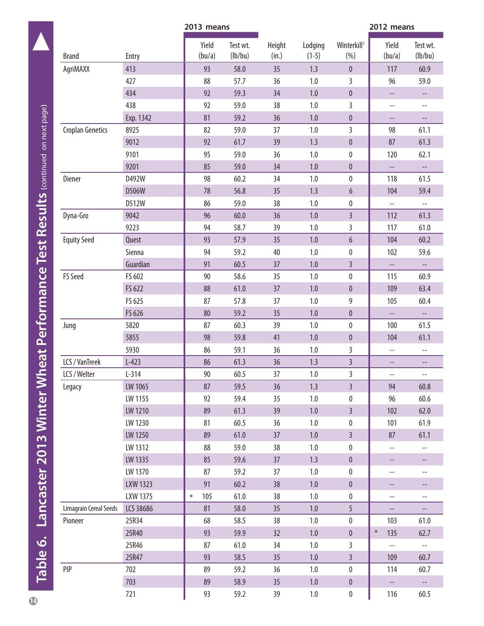<span id="page-13-0"></span>

|                         |           | 2013 means      |                     |                 |                    |                                | 2012 means               |                          |
|-------------------------|-----------|-----------------|---------------------|-----------------|--------------------|--------------------------------|--------------------------|--------------------------|
| <b>Brand</b>            | Entry     | Yield<br>(bu/a) | Test wt.<br>(lb/bu) | Height<br>(in.) | Lodging<br>$(1-5)$ | Winterkill <sup>1</sup><br>(%) | Yield<br>(bu/a)          | Test wt.<br>(lb/bu)      |
| AgriMAXX                | 413       | 93              | 58.0                | 35              | 1.3                | $\pmb{0}$                      | 117                      | 60.9                     |
|                         | 427       | 88              | 57.7                | 36              | 1.0                | 3                              | 96                       | 59.0                     |
|                         | 434       | 92              | 59.3                | 34              | $1.0\,$            | $\pmb{0}$                      | --                       | --                       |
|                         | 438       | 92              | 59.0                | 38              | 1.0                | $\mathsf{3}$                   | $\overline{\phantom{a}}$ | $\overline{\phantom{a}}$ |
|                         | Exp. 1342 | 81              | 59.2                | 36              | $1.0$              | $\pmb{0}$                      | $\qquad \qquad -$        | $\overline{\phantom{a}}$ |
| <b>Croplan Genetics</b> | 8925      | 82              | 59.0                | 37              | $1.0$              | 3                              | 98                       | 61.1                     |
|                         | 9012      | 92              | 61.7                | 39              | 1.3                | $\pmb{0}$                      | 87                       | 61.3                     |
|                         | 9101      | 95              | 59.0                | 36              | 1.0                | $\pmb{0}$                      | 120                      | 62.1                     |
|                         | 9201      | 85              | 59.0                | 34              | $1.0\,$            | $\pmb{0}$                      | $\overline{\phantom{a}}$ | $\overline{\phantom{a}}$ |
| Diener                  | D492W     | 98              | 60.2                | 34              | $1.0$              | $\pmb{0}$                      | 118                      | 61.5                     |
|                         | D506W     | 78              | 56.8                | 35              | 1.3                | $6\,$                          | 104                      | 59.4                     |
|                         | D512W     | 86              | 59.0                | 38              | 1.0                | $\pmb{0}$                      | $\overline{\phantom{a}}$ | $\overline{\phantom{a}}$ |
| Dyna-Gro                | 9042      | 96              | 60.0                | 36              | 1.0                | $\overline{3}$                 | 112                      | 61.3                     |
|                         | 9223      | 94              | 58.7                | 39              | 1.0                | 3                              | 117                      | 61.0                     |
| <b>Equity Seed</b>      | Quest     | 93              | 57.9                | 35              | $1.0\,$            | $6\,$                          | 104                      | 60.2                     |
|                         | Sienna    | 94              | 59.2                | 40              | $1.0\,$            | $\pmb{0}$                      | 102                      | 59.6                     |
|                         | Guardian  | 91              | 60.5                | 37              | $1.0$              | $\overline{3}$                 | $\overline{\phantom{a}}$ | --                       |
| FS Seed                 | FS 602    | 90              | 58.6                | 35              | $1.0$              | $\pmb{0}$                      | 115                      | 60.9                     |
|                         | FS 622    | 88              | 61.0                | 37              | $1.0\,$            | $\pmb{0}$                      | 109                      | 63.4                     |
|                         | FS 625    | 87              | 57.8                | 37              | 1.0                | 9                              | 105                      | 60.4                     |
|                         | FS 626    | 80              | 59.2                | 35              | 1.0                | $\pmb{0}$                      | $\overline{\phantom{a}}$ | $\overline{\phantom{a}}$ |
| Jung                    | 5820      | 87              | 60.3                | 39              | $1.0$              | $\pmb{0}$                      | 100                      | 61.5                     |
|                         | 5855      | 98              | 59.8                | 41              | 1.0                | $\pmb{0}$                      | 104                      | 61.1                     |
|                         | 5930      | 86              | 59.1                | 36              | 1.0                | 3                              | $\overline{\phantom{a}}$ | $- -$                    |
| LCS / VanTreek          | $L-423$   | 86              | 61.3                | 36              | 1.3                | $\overline{3}$                 | $\overline{\phantom{a}}$ | --                       |
| LCS / Welter            | $L-314$   | 90              | 60.5                | 37              | 1.0                | $\overline{3}$                 | --                       | --                       |
| Legacy                  | LW 1065   | 87              | 59.5                | 36              | 1.3                | $\overline{3}$                 | 94                       | 60.8                     |
|                         | LW 1155   | 92              | 59.4                | 35 <sub>2</sub> | 1.0                | $\pmb{0}$                      | 96                       | 60.6                     |
|                         | LW 1210   | 89              | 61.3                | 39              | $1.0\,$            | $\overline{3}$                 | 102                      | 62.0                     |
|                         | LW 1230   | 81              | 60.5                | 36              | 1.0                | $\pmb{0}$                      | 101                      | 61.9                     |
|                         | LW 1250   | 89              | 61.0                | 37              | 1.0                | $\overline{3}$                 | 87                       | 61.1                     |
|                         | LW 1312   | 88              | 59.0                | 38              | $1.0$              | $\pmb{0}$                      | $\overline{a}$           | --                       |
|                         | LW 1335   | 85              | 59.6                | 37              | 1.3                | $\pmb{0}$                      | --                       | --                       |
|                         | LW 1370   | 87              | 59.2                | 37              | 1.0                | $\pmb{0}$                      | $\overline{\phantom{a}}$ | --                       |
|                         | LXW 1323  | 91              | 60.2                | 38              | $1.0\,$            | $\pmb{0}$                      | --                       | --                       |
|                         | LXW 1375  | 105<br>$\ast$   | 61.0                | 38              | $1.0\,$            | $\pmb{0}$                      | --                       | --                       |
| Limagrain Cereal Seeds  | LCS 38686 | 81              | 58.0                | 35 <sub>1</sub> | 1.0                | 5                              | $\overline{\phantom{a}}$ | $\overline{\phantom{a}}$ |
| Pioneer                 | 25R34     | 68              | 58.5                | 38              | 1.0                | $\pmb{0}$                      | 103                      | 61.0                     |
|                         | 25R40     | 93              | 59.9                | 32              | $1.0$              | $\pmb{0}$                      | $\ast$<br>135            | 62.7                     |
|                         | 25R46     | 87              | 61.0                | 34              | 1.0                | 3                              | $\overline{\phantom{a}}$ | $\overline{\phantom{a}}$ |
|                         | 25R47     | 93              | 58.5                | 35 <sub>1</sub> | $1.0$              | $\overline{3}$                 | 109                      | 60.7                     |
| PIP                     | 702       | 89              | 59.2                | 36              | 1.0                | $\pmb{0}$                      | 114                      | 60.7                     |
|                         | 703       | 89              | 58.9                | 35 <sub>1</sub> | 1.0                | $\pmb{0}$                      | $\qquad \qquad -$        | $-$                      |
|                         | 721       | 93              | 59.2                | 39              | $1.0\,$            | $\pmb{0}$                      | 116                      | 60.5                     |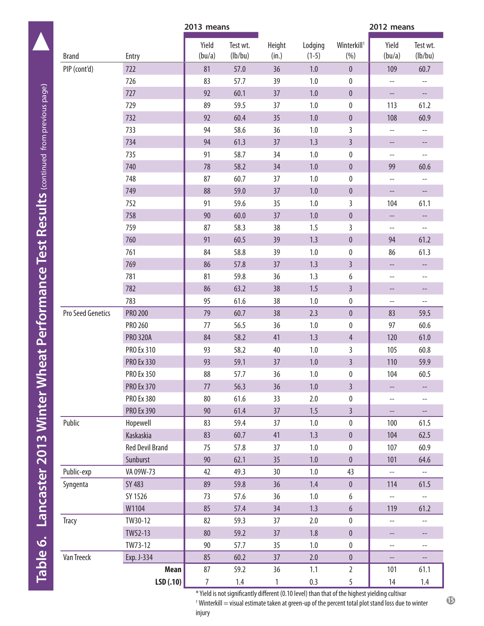|                   | 2013 means             |                  |                     |                 |                    | 2012 means                      |                          |                          |  |
|-------------------|------------------------|------------------|---------------------|-----------------|--------------------|---------------------------------|--------------------------|--------------------------|--|
| <b>Brand</b>      | Entry                  | Yield<br>(bu/a)  | Test wt.<br>(lb/bu) | Height<br>(in.) | Lodging<br>$(1-5)$ | Winterkill <sup>1</sup><br>(% ) | Yield<br>(bu/a)          | Test wt.<br>(lb/bu)      |  |
| PIP (cont'd)      | 722                    | 81               | 57.0                | 36              | $1.0\,$            | $\mathbf 0$                     | 109                      | 60.7                     |  |
|                   | 726                    | 83               | 57.7                | 39              | 1.0                | $\pmb{0}$                       | $\overline{\phantom{a}}$ | --                       |  |
|                   | 727                    | 92               | 60.1                | 37              | $1.0$              | $\mathbf 0$                     | $\overline{\phantom{a}}$ | --                       |  |
|                   | 729                    | 89               | 59.5                | 37              | 1.0                | $\pmb{0}$                       | 113                      | 61.2                     |  |
|                   | 732                    | 92               | 60.4                | 35              | $1.0$              | $\pmb{0}$                       | 108                      | 60.9                     |  |
|                   | 733                    | 94               | 58.6                | 36              | 1.0                | 3                               | --                       | $\overline{\phantom{a}}$ |  |
|                   | 734                    | 94               | 61.3                | 37              | 1.3                | $\overline{3}$                  | --                       | --                       |  |
|                   | 735                    | 91               | 58.7                | 34              | $1.0$              | $\pmb{0}$                       | $-$                      | $\qquad \qquad -$        |  |
|                   | 740                    | 78               | 58.2                | 34              | $1.0$              | $\pmb{0}$                       | 99                       | 60.6                     |  |
|                   | 748                    | 87               | 60.7                | 37              | 1.0                | $\pmb{0}$                       | $\overline{\phantom{a}}$ | $--$                     |  |
|                   | 749                    | 88               | 59.0                | 37              | $1.0$              | $\pmb{0}$                       | --                       | $\overline{\phantom{a}}$ |  |
|                   | 752                    | 91               | 59.6                | 35              | 1.0                | $\overline{3}$                  | 104                      | 61.1                     |  |
|                   | 758                    | 90               | 60.0                | 37              | 1.0                | $\mathbf 0$                     | $\overline{\phantom{a}}$ | --                       |  |
|                   | 759                    | 87               | 58.3                | 38              | 1.5                | $\overline{3}$                  | $\overline{\phantom{a}}$ | --                       |  |
|                   | 760                    | 91               | 60.5                | 39              | 1.3                | $\pmb{0}$                       | 94                       | 61.2                     |  |
|                   | 761                    | 84               | 58.8                | 39              | 1.0                | $\pmb{0}$                       | 86                       | 61.3                     |  |
|                   | 769                    | 86               | 57.8                | 37              | 1.3                | $\overline{3}$                  | --                       | --                       |  |
|                   | 781                    | 81               | 59.8                | 36              | 1.3                | 6                               | --                       | $- -$                    |  |
|                   | 782                    | 86               | 63.2                | 38              | 1.5                | $\overline{3}$                  | --                       | --                       |  |
|                   | 783                    | 95               | 61.6                | 38              | 1.0                | $\pmb{0}$                       | $\overline{\phantom{a}}$ | $\qquad \qquad -$        |  |
| Pro Seed Genetics | <b>PRO 200</b>         | 79               | 60.7                | 38              | 2.3                | $\pmb{0}$                       | 83                       | 59.5                     |  |
|                   | PRO 260                | 77               | 56.5                | 36              | 1.0                | $\pmb{0}$                       | 97                       | 60.6                     |  |
|                   | <b>PRO 320A</b>        | 84               | 58.2                | 41              | 1.3                | $\overline{4}$                  | 120                      | 61.0                     |  |
|                   | PRO Ex 310             | 93               | 58.2                | 40              | 1.0                | $\overline{3}$                  | 105                      | 60.8                     |  |
|                   | <b>PRO Ex 330</b>      | 93               | 59.1                | 37              | $1.0$              | $\overline{3}$                  | 110                      | 59.9                     |  |
|                   | PRO Ex 350             | 88               | 57.7                | 36              | $1.0\,$            | 0                               | 104                      | 60.5                     |  |
|                   | PRO Ex 370             | 77               | 56.3                | 36              | 1.0                | $\overline{3}$                  | --                       | --                       |  |
|                   | <b>PRO Ex 380</b>      | 80               | 61.6                | 33              | 2.0                | $\pmb{0}$                       | $\overline{\phantom{a}}$ | --                       |  |
|                   | PRO Ex 390             | 90               | 61.4                | 37              | 1.5                | $\overline{3}$                  | $\overline{\phantom{a}}$ | --                       |  |
| Public            | Hopewell               | 83               | 59.4                | 37              | 1.0                | $\pmb{0}$                       | 100                      | 61.5                     |  |
|                   | Kaskaskia              | 83               | 60.7                | 41              | 1.3                | $\pmb{0}$                       | 104                      | 62.5                     |  |
|                   | <b>Red Devil Brand</b> | 75               | 57.8                | 37              | 1.0                | $\pmb{0}$                       | 107                      | 60.9                     |  |
|                   | Sunburst               | $90\,$           | 62.1                | 35              | $1.0$              | $\pmb{0}$                       | 101                      | 64.6                     |  |
| Public-exp        | VA 09W-73              | 42               | 49.3                | 30              | $1.0\,$            | 43                              | $\overline{\phantom{a}}$ | $\overline{\phantom{a}}$ |  |
| Syngenta          | SY 483                 | 89               | 59.8                | 36              | 1.4                | $\pmb{0}$                       | 114                      | 61.5                     |  |
|                   | SY 1526                | 73               | 57.6                | 36              | $1.0\,$            | 6                               | $\overline{\phantom{a}}$ | $\overline{\phantom{a}}$ |  |
|                   | W1104                  | 85               | 57.4                | 34              | 1.3                | $6\phantom{.}$                  | 119                      | 61.2                     |  |
| Tracy             | TW30-12                | 82               | 59.3                | 37              | 2.0                | $\pmb{0}$                       | $\overline{a}$           | --                       |  |
|                   | TW52-13                | 80               | 59.2                | 37              | 1.8                | $\pmb{0}$                       | --                       | --                       |  |
|                   | TW73-12                | 90               | 57.7                | 35              | $1.0\,$            | $\pmb{0}$                       | --                       | $\overline{\phantom{a}}$ |  |
| Van Treeck        | Exp. J-334             | 85               | 60.2                | 37              | 2.0                | $\pmb{0}$                       | --                       | --                       |  |
|                   | Mean                   | 87               | 59.2                | 36              | 1.1                | $\mathbf{2}$                    | 101                      | 61.1                     |  |
|                   | LSD(.10)               | $\boldsymbol{7}$ | 1.4                 | $\mathbbm{1}$   | 0.3                | 5                               | 14                       | $1.4\,$                  |  |

\* Yield is not significantly different (0.10 level) than that of the highest yielding cultivar 1 Winterkill = visual estimate taken at green-up of the percent total plot stand loss due to winter

**15** 

injury